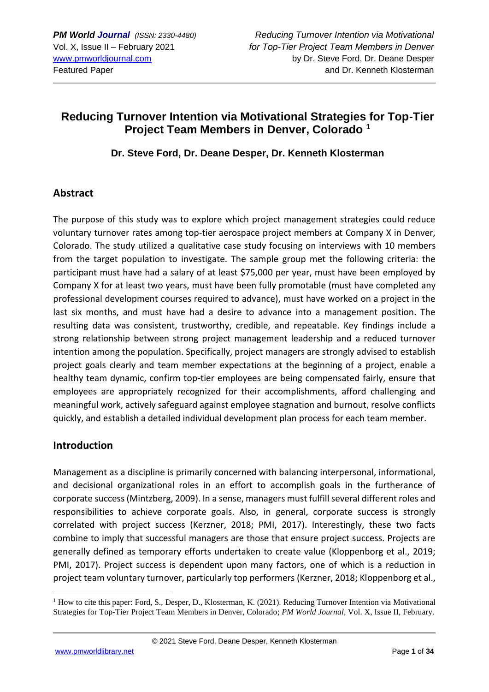# **Reducing Turnover Intention via Motivational Strategies for Top-Tier Project Team Members in Denver, Colorado <sup>1</sup>**

**Dr. Steve Ford, Dr. Deane Desper, Dr. Kenneth Klosterman**

## **Abstract**

The purpose of this study was to explore which project management strategies could reduce voluntary turnover rates among top-tier aerospace project members at Company X in Denver, Colorado. The study utilized a qualitative case study focusing on interviews with 10 members from the target population to investigate. The sample group met the following criteria: the participant must have had a salary of at least \$75,000 per year, must have been employed by Company X for at least two years, must have been fully promotable (must have completed any professional development courses required to advance), must have worked on a project in the last six months, and must have had a desire to advance into a management position. The resulting data was consistent, trustworthy, credible, and repeatable. Key findings include a strong relationship between strong project management leadership and a reduced turnover intention among the population. Specifically, project managers are strongly advised to establish project goals clearly and team member expectations at the beginning of a project, enable a healthy team dynamic, confirm top-tier employees are being compensated fairly, ensure that employees are appropriately recognized for their accomplishments, afford challenging and meaningful work, actively safeguard against employee stagnation and burnout, resolve conflicts quickly, and establish a detailed individual development plan process for each team member.

## **Introduction**

Management as a discipline is primarily concerned with balancing interpersonal, informational, and decisional organizational roles in an effort to accomplish goals in the furtherance of corporate success (Mintzberg, 2009). In a sense, managers must fulfill several different roles and responsibilities to achieve corporate goals. Also, in general, corporate success is strongly correlated with project success (Kerzner, 2018; PMI, 2017). Interestingly, these two facts combine to imply that successful managers are those that ensure project success. Projects are generally defined as temporary efforts undertaken to create value (Kloppenborg et al., 2019; PMI, 2017). Project success is dependent upon many factors, one of which is a reduction in project team voluntary turnover, particularly top performers (Kerzner, 2018; Kloppenborg et al.,

 $1$  How to cite this paper: Ford, S., Desper, D., Klosterman, K. (2021). Reducing Turnover Intention via Motivational Strategies for Top-Tier Project Team Members in Denver, Colorado; *PM World Journal*, Vol. X, Issue II, February.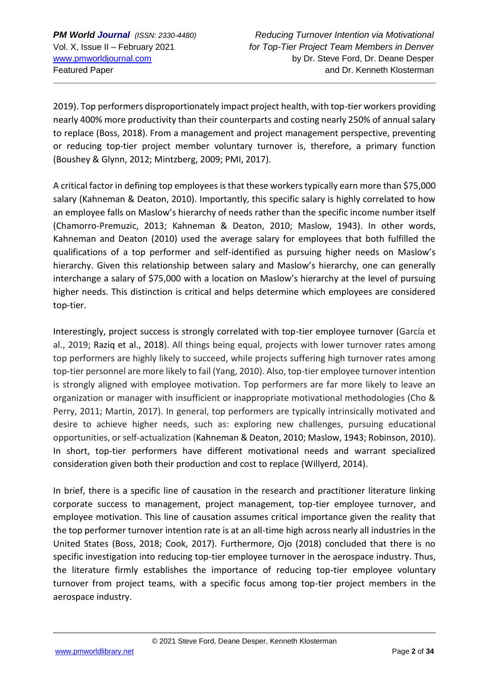2019). Top performers disproportionately impact project health, with top-tier workers providing nearly 400% more productivity than their counterparts and costing nearly 250% of annual salary to replace (Boss, 2018). From a management and project management perspective, preventing or reducing top-tier project member voluntary turnover is, therefore, a primary function (Boushey & Glynn, 2012; Mintzberg, 2009; PMI, 2017).

A critical factor in defining top employees is that these workers typically earn more than \$75,000 salary (Kahneman & Deaton, 2010). Importantly, this specific salary is highly correlated to how an employee falls on Maslow's hierarchy of needs rather than the specific income number itself (Chamorro-Premuzic, 2013; Kahneman & Deaton, 2010; Maslow, 1943). In other words, Kahneman and Deaton (2010) used the average salary for employees that both fulfilled the qualifications of a top performer and self-identified as pursuing higher needs on Maslow's hierarchy. Given this relationship between salary and Maslow's hierarchy, one can generally interchange a salary of \$75,000 with a location on Maslow's hierarchy at the level of pursuing higher needs. This distinction is critical and helps determine which employees are considered top-tier.

Interestingly, project success is strongly correlated with top-tier employee turnover (García et al., 2019; Raziq et al., 2018). All things being equal, projects with lower turnover rates among top performers are highly likely to succeed, while projects suffering high turnover rates among top-tier personnel are more likely to fail (Yang, 2010). Also, top-tier employee turnover intention is strongly aligned with employee motivation. Top performers are far more likely to leave an organization or manager with insufficient or inappropriate motivational methodologies (Cho & Perry, 2011; Martin, 2017). In general, top performers are typically intrinsically motivated and desire to achieve higher needs, such as: exploring new challenges, pursuing educational opportunities, or self-actualization (Kahneman & Deaton, 2010; Maslow, 1943; Robinson, 2010). In short, top-tier performers have different motivational needs and warrant specialized consideration given both their production and cost to replace (Willyerd, 2014).

In brief, there is a specific line of causation in the research and practitioner literature linking corporate success to management, project management, top-tier employee turnover, and employee motivation. This line of causation assumes critical importance given the reality that the top performer turnover intention rate is at an all-time high across nearly all industries in the United States (Boss, 2018; Cook, 2017). Furthermore, Ojo (2018) concluded that there is no specific investigation into reducing top-tier employee turnover in the aerospace industry. Thus, the literature firmly establishes the importance of reducing top-tier employee voluntary turnover from project teams, with a specific focus among top-tier project members in the aerospace industry.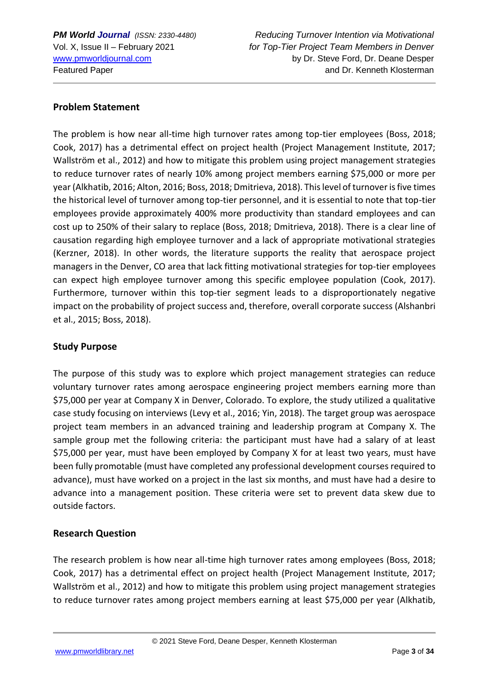#### **Problem Statement**

The problem is how near all-time high turnover rates among top-tier employees (Boss, 2018; Cook, 2017) has a detrimental effect on project health (Project Management Institute, 2017; Wallström et al., 2012) and how to mitigate this problem using project management strategies to reduce turnover rates of nearly 10% among project members earning \$75,000 or more per year (Alkhatib, 2016; Alton, 2016; Boss, 2018; Dmitrieva, 2018). This level of turnover is five times the historical level of turnover among top-tier personnel, and it is essential to note that top-tier employees provide approximately 400% more productivity than standard employees and can cost up to 250% of their salary to replace (Boss, 2018; Dmitrieva, 2018). There is a clear line of causation regarding high employee turnover and a lack of appropriate motivational strategies (Kerzner, 2018). In other words, the literature supports the reality that aerospace project managers in the Denver, CO area that lack fitting motivational strategies for top-tier employees can expect high employee turnover among this specific employee population (Cook, 2017). Furthermore, turnover within this top-tier segment leads to a disproportionately negative impact on the probability of project success and, therefore, overall corporate success (Alshanbri et al., 2015; Boss, 2018).

#### **Study Purpose**

The purpose of this study was to explore which project management strategies can reduce voluntary turnover rates among aerospace engineering project members earning more than \$75,000 per year at Company X in Denver, Colorado. To explore, the study utilized a qualitative case study focusing on interviews (Levy et al., 2016; Yin, 2018). The target group was aerospace project team members in an advanced training and leadership program at Company X. The sample group met the following criteria: the participant must have had a salary of at least \$75,000 per year, must have been employed by Company X for at least two years, must have been fully promotable (must have completed any professional development courses required to advance), must have worked on a project in the last six months, and must have had a desire to advance into a management position. These criteria were set to prevent data skew due to outside factors.

## **Research Question**

The research problem is how near all-time high turnover rates among employees (Boss, 2018; Cook, 2017) has a detrimental effect on project health (Project Management Institute, 2017; Wallström et al., 2012) and how to mitigate this problem using project management strategies to reduce turnover rates among project members earning at least \$75,000 per year (Alkhatib,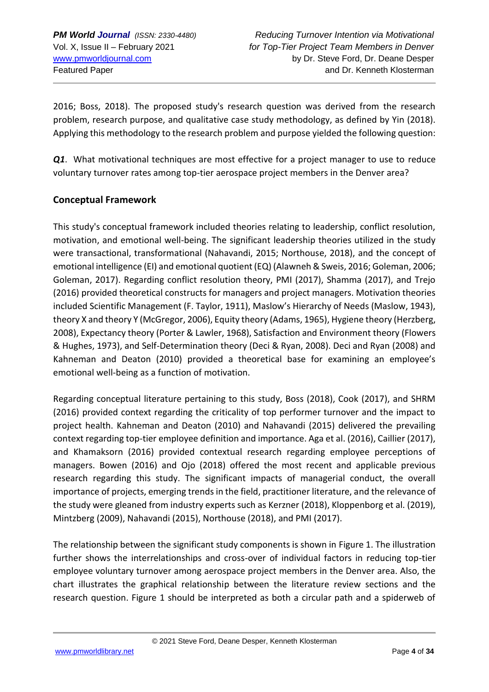2016; Boss, 2018). The proposed study's research question was derived from the research problem, research purpose, and qualitative case study methodology, as defined by Yin (2018). Applying this methodology to the research problem and purpose yielded the following question:

*Q1*. What motivational techniques are most effective for a project manager to use to reduce voluntary turnover rates among top-tier aerospace project members in the Denver area?

## **Conceptual Framework**

This study's conceptual framework included theories relating to leadership, conflict resolution, motivation, and emotional well-being. The significant leadership theories utilized in the study were transactional, transformational (Nahavandi, 2015; Northouse, 2018), and the concept of emotional intelligence (EI) and emotional quotient (EQ) (Alawneh & Sweis, 2016; Goleman, 2006; Goleman, 2017). Regarding conflict resolution theory, PMI (2017), Shamma (2017), and Trejo (2016) provided theoretical constructs for managers and project managers. Motivation theories included Scientific Management (F. Taylor, 1911), Maslow's Hierarchy of Needs (Maslow, 1943), theory X and theory Y (McGregor, 2006), Equity theory (Adams, 1965), Hygiene theory (Herzberg, 2008), Expectancy theory (Porter & Lawler, 1968), Satisfaction and Environment theory (Flowers & Hughes, 1973), and Self-Determination theory (Deci & Ryan, 2008). Deci and Ryan (2008) and Kahneman and Deaton (2010) provided a theoretical base for examining an employee's emotional well-being as a function of motivation.

Regarding conceptual literature pertaining to this study, Boss (2018), Cook (2017), and SHRM (2016) provided context regarding the criticality of top performer turnover and the impact to project health. Kahneman and Deaton (2010) and Nahavandi (2015) delivered the prevailing context regarding top-tier employee definition and importance. Aga et al. (2016), Caillier (2017), and Khamaksorn (2016) provided contextual research regarding employee perceptions of managers. Bowen (2016) and Ojo (2018) offered the most recent and applicable previous research regarding this study. The significant impacts of managerial conduct, the overall importance of projects, emerging trends in the field, practitioner literature, and the relevance of the study were gleaned from industry experts such as Kerzner (2018), Kloppenborg et al. (2019), Mintzberg (2009), Nahavandi (2015), Northouse (2018), and PMI (2017).

The relationship between the significant study components is shown in Figure 1. The illustration further shows the interrelationships and cross-over of individual factors in reducing top-tier employee voluntary turnover among aerospace project members in the Denver area. Also, the chart illustrates the graphical relationship between the literature review sections and the research question. Figure 1 should be interpreted as both a circular path and a spiderweb of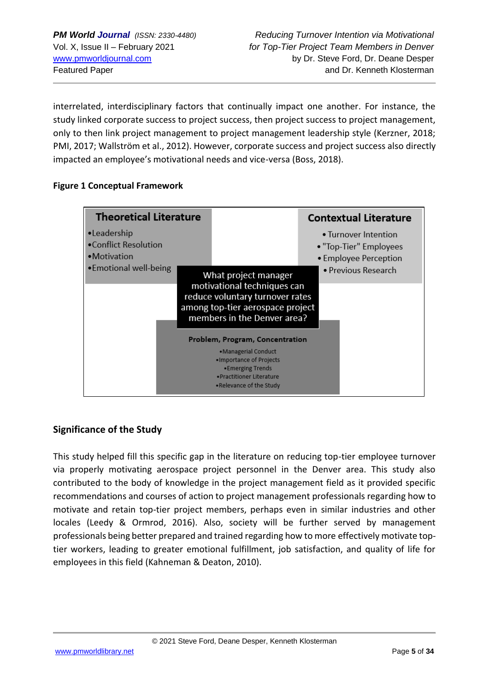interrelated, interdisciplinary factors that continually impact one another. For instance, the study linked corporate success to project success, then project success to project management, only to then link project management to project management leadership style (Kerzner, 2018; PMI, 2017; Wallström et al., 2012). However, corporate success and project success also directly impacted an employee's motivational needs and vice-versa (Boss, 2018).

#### **Figure 1 Conceptual Framework**



## **Significance of the Study**

This study helped fill this specific gap in the literature on reducing top-tier employee turnover via properly motivating aerospace project personnel in the Denver area. This study also contributed to the body of knowledge in the project management field as it provided specific recommendations and courses of action to project management professionals regarding how to motivate and retain top-tier project members, perhaps even in similar industries and other locales (Leedy & Ormrod, 2016). Also, society will be further served by management professionals being better prepared and trained regarding how to more effectively motivate toptier workers, leading to greater emotional fulfillment, job satisfaction, and quality of life for employees in this field (Kahneman & Deaton, 2010).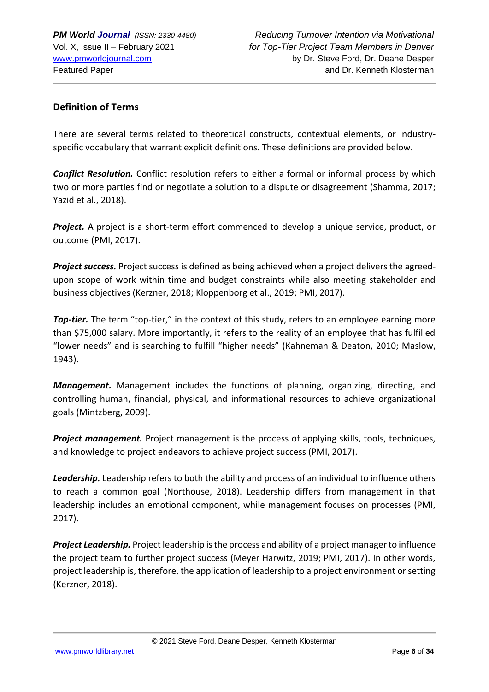#### **Definition of Terms**

There are several terms related to theoretical constructs, contextual elements, or industryspecific vocabulary that warrant explicit definitions. These definitions are provided below.

*Conflict Resolution.* Conflict resolution refers to either a formal or informal process by which two or more parties find or negotiate a solution to a dispute or disagreement (Shamma, 2017; Yazid et al., 2018).

*Project.* A project is a short-term effort commenced to develop a unique service, product, or outcome (PMI, 2017).

*Project success.* Project success is defined as being achieved when a project delivers the agreedupon scope of work within time and budget constraints while also meeting stakeholder and business objectives (Kerzner, 2018; Kloppenborg et al., 2019; PMI, 2017).

*Top-tier.* The term "top-tier," in the context of this study, refers to an employee earning more than \$75,000 salary. More importantly, it refers to the reality of an employee that has fulfilled "lower needs" and is searching to fulfill "higher needs" (Kahneman & Deaton, 2010; Maslow, 1943).

*Management.* Management includes the functions of planning, organizing, directing, and controlling human, financial, physical, and informational resources to achieve organizational goals (Mintzberg, 2009).

*Project management.* Project management is the process of applying skills, tools, techniques, and knowledge to project endeavors to achieve project success (PMI, 2017).

Leadership. Leadership refers to both the ability and process of an individual to influence others to reach a common goal (Northouse, 2018). Leadership differs from management in that leadership includes an emotional component, while management focuses on processes (PMI, 2017).

*Project Leadership.* Project leadership is the process and ability of a project manager to influence the project team to further project success (Meyer Harwitz, 2019; PMI, 2017). In other words, project leadership is, therefore, the application of leadership to a project environment or setting (Kerzner, 2018).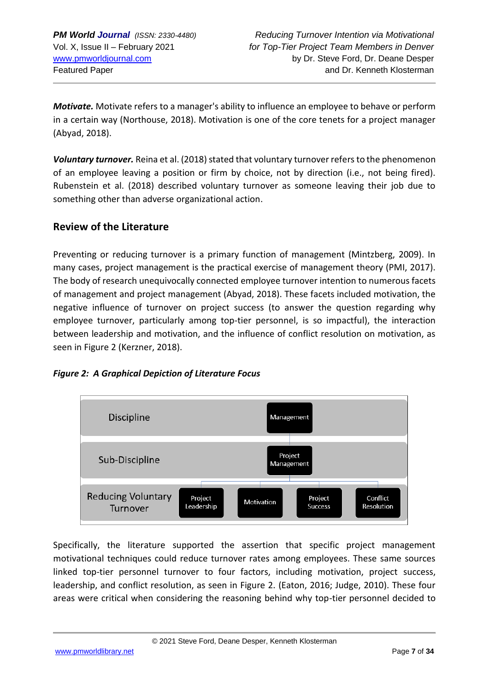*PM World Journal (ISSN: 2330-4480) Reducing Turnover Intention via Motivational* Vol. X, Issue II – February 2021 *for Top-Tier Project Team Members in Denver* [www.pmworldjournal.com](http://www.pmworldjournal.com/) by Dr. Steve Ford, Dr. Deane Desper Featured Paper and Dr. Kenneth Klosterman and Dr. Kenneth Klosterman

*Motivate.* Motivate refers to a manager's ability to influence an employee to behave or perform in a certain way (Northouse, 2018). Motivation is one of the core tenets for a project manager (Abyad, 2018).

*Voluntary turnover.* Reina et al. (2018) stated that voluntary turnover refers to the phenomenon of an employee leaving a position or firm by choice, not by direction (i.e., not being fired). Rubenstein et al. (2018) described voluntary turnover as someone leaving their job due to something other than adverse organizational action.

## **Review of the Literature**

Preventing or reducing turnover is a primary function of management (Mintzberg, 2009). In many cases, project management is the practical exercise of management theory (PMI, 2017). The body of research unequivocally connected employee turnover intention to numerous facets of management and project management (Abyad, 2018). These facets included motivation, the negative influence of turnover on project success (to answer the question regarding why employee turnover, particularly among top-tier personnel, is so impactful), the interaction between leadership and motivation, and the influence of conflict resolution on motivation, as seen in Figure 2 (Kerzner, 2018).





Specifically, the literature supported the assertion that specific project management motivational techniques could reduce turnover rates among employees. These same sources linked top-tier personnel turnover to four factors, including motivation, project success, leadership, and conflict resolution, as seen in Figure 2. (Eaton, 2016; Judge, 2010). These four areas were critical when considering the reasoning behind why top-tier personnel decided to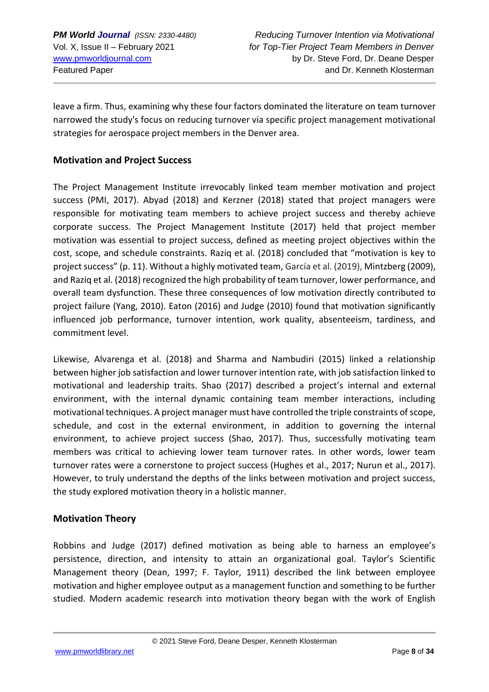leave a firm. Thus, examining why these four factors dominated the literature on team turnover narrowed the study's focus on reducing turnover via specific project management motivational strategies for aerospace project members in the Denver area.

#### **Motivation and Project Success**

The Project Management Institute irrevocably linked team member motivation and project success (PMI, 2017). Abyad (2018) and Kerzner (2018) stated that project managers were responsible for motivating team members to achieve project success and thereby achieve corporate success. The Project Management Institute (2017) held that project member motivation was essential to project success, defined as meeting project objectives within the cost, scope, and schedule constraints. Raziq et al. (2018) concluded that "motivation is key to project success" (p. 11). Without a highly motivated team, García et al. (2019), Mintzberg (2009), and Raziq et al. (2018) recognized the high probability of team turnover, lower performance, and overall team dysfunction. These three consequences of low motivation directly contributed to project failure (Yang, 2010). Eaton (2016) and Judge (2010) found that motivation significantly influenced job performance, turnover intention, work quality, absenteeism, tardiness, and commitment level.

Likewise, Alvarenga et al. (2018) and Sharma and Nambudiri (2015) linked a relationship between higher job satisfaction and lower turnover intention rate, with job satisfaction linked to motivational and leadership traits. Shao (2017) described a project's internal and external environment, with the internal dynamic containing team member interactions, including motivational techniques. A project manager must have controlled the triple constraints of scope, schedule, and cost in the external environment, in addition to governing the internal environment, to achieve project success (Shao, 2017). Thus, successfully motivating team members was critical to achieving lower team turnover rates. In other words, lower team turnover rates were a cornerstone to project success (Hughes et al., 2017; Nurun et al., 2017). However, to truly understand the depths of the links between motivation and project success, the study explored motivation theory in a holistic manner.

#### **Motivation Theory**

Robbins and Judge (2017) defined motivation as being able to harness an employee's persistence, direction, and intensity to attain an organizational goal. Taylor's Scientific Management theory (Dean, 1997; F. Taylor, 1911) described the link between employee motivation and higher employee output as a management function and something to be further studied. Modern academic research into motivation theory began with the work of English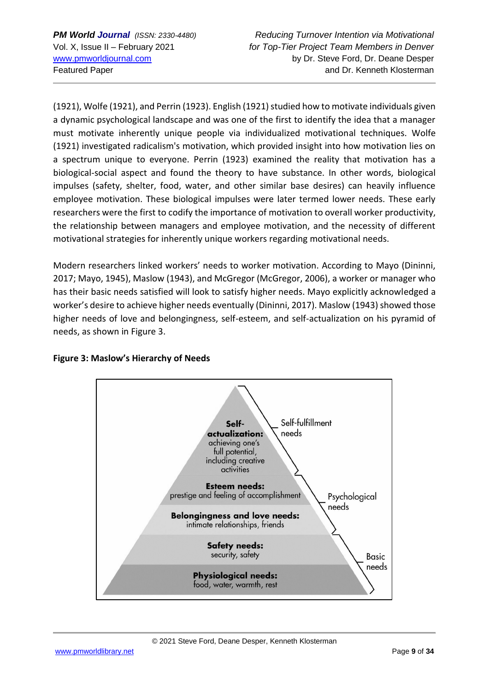(1921), Wolfe (1921), and Perrin (1923). English (1921) studied how to motivate individuals given a dynamic psychological landscape and was one of the first to identify the idea that a manager must motivate inherently unique people via individualized motivational techniques. Wolfe (1921) investigated radicalism's motivation, which provided insight into how motivation lies on a spectrum unique to everyone. Perrin (1923) examined the reality that motivation has a biological-social aspect and found the theory to have substance. In other words, biological impulses (safety, shelter, food, water, and other similar base desires) can heavily influence employee motivation. These biological impulses were later termed lower needs. These early researchers were the first to codify the importance of motivation to overall worker productivity, the relationship between managers and employee motivation, and the necessity of different motivational strategies for inherently unique workers regarding motivational needs.

Modern researchers linked workers' needs to worker motivation. According to Mayo (Dininni, 2017; Mayo, 1945), Maslow (1943), and McGregor (McGregor, 2006), a worker or manager who has their basic needs satisfied will look to satisfy higher needs. Mayo explicitly acknowledged a worker's desire to achieve higher needs eventually (Dininni, 2017). Maslow (1943) showed those higher needs of love and belongingness, self-esteem, and self-actualization on his pyramid of needs, as shown in Figure 3.



#### **Figure 3: Maslow's Hierarchy of Needs**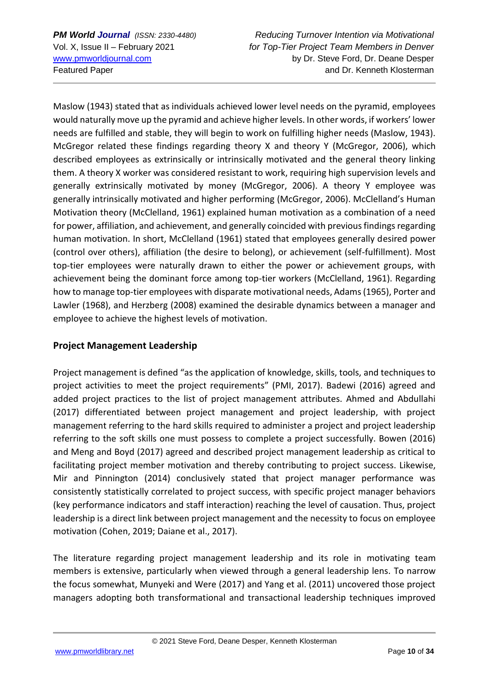*PM World Journal (ISSN: 2330-4480) Reducing Turnover Intention via Motivational* Vol. X, Issue II – February 2021 *for Top-Tier Project Team Members in Denver* [www.pmworldjournal.com](http://www.pmworldjournal.com/) by Dr. Steve Ford, Dr. Deane Desper Featured Paper and Dr. Kenneth Klosterman and Dr. Kenneth Klosterman

Maslow (1943) stated that as individuals achieved lower level needs on the pyramid, employees would naturally move up the pyramid and achieve higher levels. In other words, if workers' lower needs are fulfilled and stable, they will begin to work on fulfilling higher needs (Maslow, 1943). McGregor related these findings regarding theory X and theory Y (McGregor, 2006), which described employees as extrinsically or intrinsically motivated and the general theory linking them. A theory X worker was considered resistant to work, requiring high supervision levels and generally extrinsically motivated by money (McGregor, 2006). A theory Y employee was generally intrinsically motivated and higher performing (McGregor, 2006). McClelland's Human Motivation theory (McClelland, 1961) explained human motivation as a combination of a need for power, affiliation, and achievement, and generally coincided with previous findings regarding human motivation. In short, McClelland (1961) stated that employees generally desired power (control over others), affiliation (the desire to belong), or achievement (self-fulfillment). Most top-tier employees were naturally drawn to either the power or achievement groups, with achievement being the dominant force among top-tier workers (McClelland, 1961). Regarding how to manage top-tier employees with disparate motivational needs, Adams (1965), Porter and Lawler (1968), and Herzberg (2008) examined the desirable dynamics between a manager and employee to achieve the highest levels of motivation.

### **Project Management Leadership**

Project management is defined "as the application of knowledge, skills, tools, and techniques to project activities to meet the project requirements" (PMI, 2017). Badewi (2016) agreed and added project practices to the list of project management attributes. Ahmed and Abdullahi (2017) differentiated between project management and project leadership, with project management referring to the hard skills required to administer a project and project leadership referring to the soft skills one must possess to complete a project successfully. Bowen (2016) and Meng and Boyd (2017) agreed and described project management leadership as critical to facilitating project member motivation and thereby contributing to project success. Likewise, Mir and Pinnington (2014) conclusively stated that project manager performance was consistently statistically correlated to project success, with specific project manager behaviors (key performance indicators and staff interaction) reaching the level of causation. Thus, project leadership is a direct link between project management and the necessity to focus on employee motivation (Cohen, 2019; Daiane et al., 2017).

The literature regarding project management leadership and its role in motivating team members is extensive, particularly when viewed through a general leadership lens. To narrow the focus somewhat, Munyeki and Were (2017) and Yang et al. (2011) uncovered those project managers adopting both transformational and transactional leadership techniques improved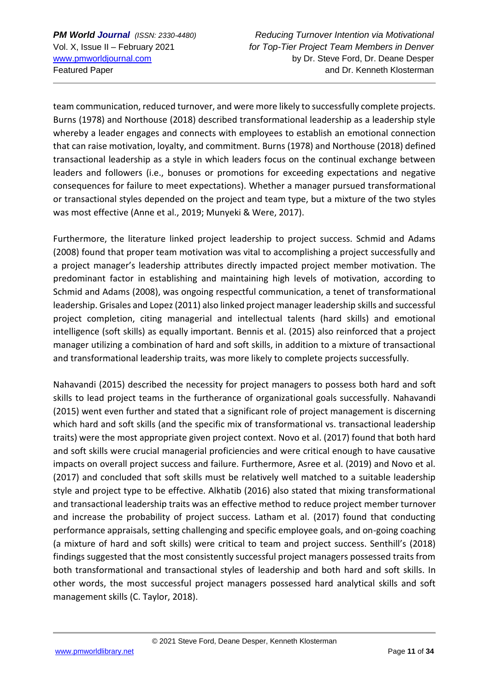team communication, reduced turnover, and were more likely to successfully complete projects. Burns (1978) and Northouse (2018) described transformational leadership as a leadership style whereby a leader engages and connects with employees to establish an emotional connection that can raise motivation, loyalty, and commitment. Burns (1978) and Northouse (2018) defined transactional leadership as a style in which leaders focus on the continual exchange between leaders and followers (i.e., bonuses or promotions for exceeding expectations and negative consequences for failure to meet expectations). Whether a manager pursued transformational or transactional styles depended on the project and team type, but a mixture of the two styles was most effective (Anne et al., 2019; Munyeki & Were, 2017).

Furthermore, the literature linked project leadership to project success. Schmid and Adams (2008) found that proper team motivation was vital to accomplishing a project successfully and a project manager's leadership attributes directly impacted project member motivation. The predominant factor in establishing and maintaining high levels of motivation, according to Schmid and Adams (2008), was ongoing respectful communication, a tenet of transformational leadership. Grisales and Lopez (2011) also linked project manager leadership skills and successful project completion, citing managerial and intellectual talents (hard skills) and emotional intelligence (soft skills) as equally important. Bennis et al. (2015) also reinforced that a project manager utilizing a combination of hard and soft skills, in addition to a mixture of transactional and transformational leadership traits, was more likely to complete projects successfully.

Nahavandi (2015) described the necessity for project managers to possess both hard and soft skills to lead project teams in the furtherance of organizational goals successfully. Nahavandi (2015) went even further and stated that a significant role of project management is discerning which hard and soft skills (and the specific mix of transformational vs. transactional leadership traits) were the most appropriate given project context. Novo et al. (2017) found that both hard and soft skills were crucial managerial proficiencies and were critical enough to have causative impacts on overall project success and failure. Furthermore, Asree et al. (2019) and Novo et al. (2017) and concluded that soft skills must be relatively well matched to a suitable leadership style and project type to be effective. Alkhatib (2016) also stated that mixing transformational and transactional leadership traits was an effective method to reduce project member turnover and increase the probability of project success. Latham et al. (2017) found that conducting performance appraisals, setting challenging and specific employee goals, and on-going coaching (a mixture of hard and soft skills) were critical to team and project success. Senthill's (2018) findings suggested that the most consistently successful project managers possessed traits from both transformational and transactional styles of leadership and both hard and soft skills. In other words, the most successful project managers possessed hard analytical skills and soft management skills (C. Taylor, 2018).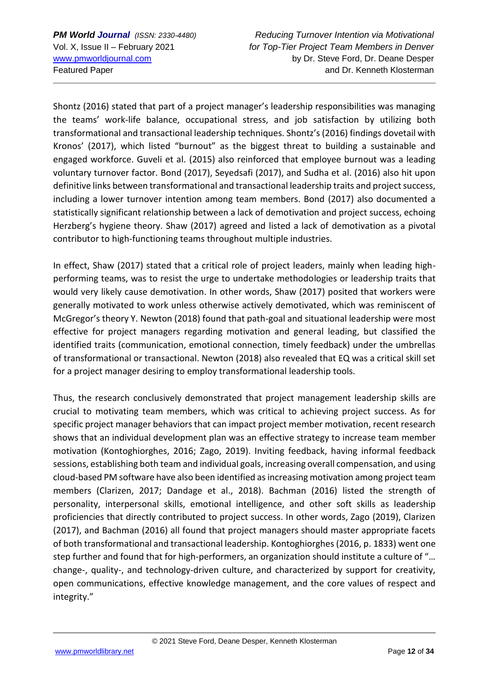*PM World Journal (ISSN: 2330-4480) Reducing Turnover Intention via Motivational* Vol. X, Issue II – February 2021 *for Top-Tier Project Team Members in Denver* [www.pmworldjournal.com](http://www.pmworldjournal.com/) by Dr. Steve Ford, Dr. Deane Desper Featured Paper and Dr. Kenneth Klosterman and Dr. Kenneth Klosterman

Shontz (2016) stated that part of a project manager's leadership responsibilities was managing the teams' work-life balance, occupational stress, and job satisfaction by utilizing both transformational and transactional leadership techniques. Shontz's (2016) findings dovetail with Kronos' (2017), which listed "burnout" as the biggest threat to building a sustainable and engaged workforce. Guveli et al. (2015) also reinforced that employee burnout was a leading voluntary turnover factor. Bond (2017), Seyedsafi (2017), and Sudha et al. (2016) also hit upon definitive links between transformational and transactional leadership traits and project success, including a lower turnover intention among team members. Bond (2017) also documented a statistically significant relationship between a lack of demotivation and project success, echoing Herzberg's hygiene theory. Shaw (2017) agreed and listed a lack of demotivation as a pivotal contributor to high-functioning teams throughout multiple industries.

In effect, Shaw (2017) stated that a critical role of project leaders, mainly when leading highperforming teams, was to resist the urge to undertake methodologies or leadership traits that would very likely cause demotivation. In other words, Shaw (2017) posited that workers were generally motivated to work unless otherwise actively demotivated, which was reminiscent of McGregor's theory Y. Newton (2018) found that path-goal and situational leadership were most effective for project managers regarding motivation and general leading, but classified the identified traits (communication, emotional connection, timely feedback) under the umbrellas of transformational or transactional. Newton (2018) also revealed that EQ was a critical skill set for a project manager desiring to employ transformational leadership tools.

Thus, the research conclusively demonstrated that project management leadership skills are crucial to motivating team members, which was critical to achieving project success. As for specific project manager behaviors that can impact project member motivation, recent research shows that an individual development plan was an effective strategy to increase team member motivation (Kontoghiorghes, 2016; Zago, 2019). Inviting feedback, having informal feedback sessions, establishing both team and individual goals, increasing overall compensation, and using cloud-based PM software have also been identified as increasing motivation among project team members (Clarizen, 2017; Dandage et al., 2018). Bachman (2016) listed the strength of personality, interpersonal skills, emotional intelligence, and other soft skills as leadership proficiencies that directly contributed to project success. In other words, Zago (2019), Clarizen (2017), and Bachman (2016) all found that project managers should master appropriate facets of both transformational and transactional leadership. Kontoghiorghes (2016, p. 1833) went one step further and found that for high-performers, an organization should institute a culture of "… change-, quality-, and technology-driven culture, and characterized by support for creativity, open communications, effective knowledge management, and the core values of respect and integrity."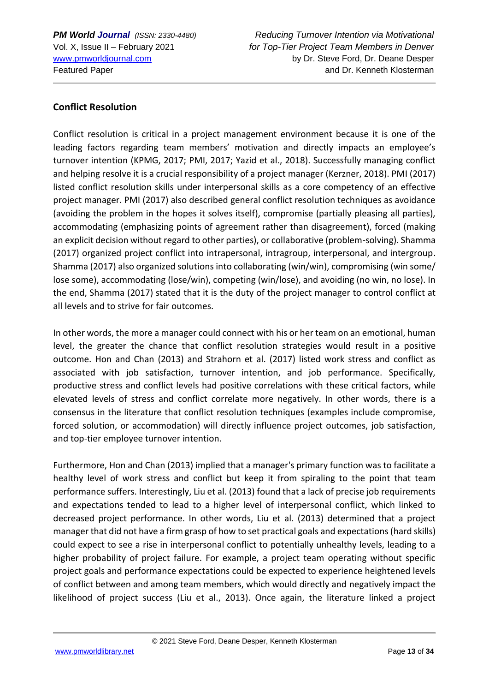#### **Conflict Resolution**

Conflict resolution is critical in a project management environment because it is one of the leading factors regarding team members' motivation and directly impacts an employee's turnover intention (KPMG, 2017; PMI, 2017; Yazid et al., 2018). Successfully managing conflict and helping resolve it is a crucial responsibility of a project manager (Kerzner, 2018). PMI (2017) listed conflict resolution skills under interpersonal skills as a core competency of an effective project manager. PMI (2017) also described general conflict resolution techniques as avoidance (avoiding the problem in the hopes it solves itself), compromise (partially pleasing all parties), accommodating (emphasizing points of agreement rather than disagreement), forced (making an explicit decision without regard to other parties), or collaborative (problem-solving). Shamma (2017) organized project conflict into intrapersonal, intragroup, interpersonal, and intergroup. Shamma (2017) also organized solutions into collaborating (win/win), compromising (win some/ lose some), accommodating (lose/win), competing (win/lose), and avoiding (no win, no lose). In the end, Shamma (2017) stated that it is the duty of the project manager to control conflict at all levels and to strive for fair outcomes.

In other words, the more a manager could connect with his or her team on an emotional, human level, the greater the chance that conflict resolution strategies would result in a positive outcome. Hon and Chan (2013) and Strahorn et al. (2017) listed work stress and conflict as associated with job satisfaction, turnover intention, and job performance. Specifically, productive stress and conflict levels had positive correlations with these critical factors, while elevated levels of stress and conflict correlate more negatively. In other words, there is a consensus in the literature that conflict resolution techniques (examples include compromise, forced solution, or accommodation) will directly influence project outcomes, job satisfaction, and top-tier employee turnover intention.

Furthermore, Hon and Chan (2013) implied that a manager's primary function was to facilitate a healthy level of work stress and conflict but keep it from spiraling to the point that team performance suffers. Interestingly, Liu et al. (2013) found that a lack of precise job requirements and expectations tended to lead to a higher level of interpersonal conflict, which linked to decreased project performance. In other words, Liu et al. (2013) determined that a project manager that did not have a firm grasp of how to set practical goals and expectations (hard skills) could expect to see a rise in interpersonal conflict to potentially unhealthy levels, leading to a higher probability of project failure. For example, a project team operating without specific project goals and performance expectations could be expected to experience heightened levels of conflict between and among team members, which would directly and negatively impact the likelihood of project success (Liu et al., 2013). Once again, the literature linked a project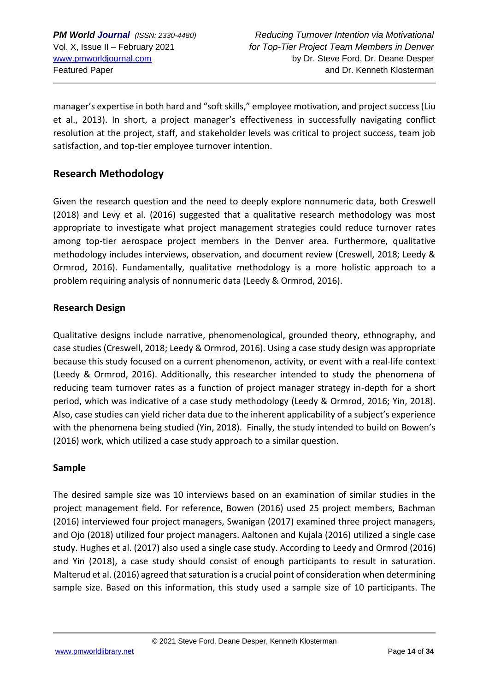manager's expertise in both hard and "soft skills," employee motivation, and project success (Liu et al., 2013). In short, a project manager's effectiveness in successfully navigating conflict resolution at the project, staff, and stakeholder levels was critical to project success, team job satisfaction, and top-tier employee turnover intention.

## **Research Methodology**

Given the research question and the need to deeply explore nonnumeric data, both Creswell (2018) and Levy et al. (2016) suggested that a qualitative research methodology was most appropriate to investigate what project management strategies could reduce turnover rates among top-tier aerospace project members in the Denver area. Furthermore, qualitative methodology includes interviews, observation, and document review (Creswell, 2018; Leedy & Ormrod, 2016). Fundamentally, qualitative methodology is a more holistic approach to a problem requiring analysis of nonnumeric data (Leedy & Ormrod, 2016).

#### **Research Design**

Qualitative designs include narrative, phenomenological, grounded theory, ethnography, and case studies (Creswell, 2018; Leedy & Ormrod, 2016). Using a case study design was appropriate because this study focused on a current phenomenon, activity, or event with a real-life context (Leedy & Ormrod, 2016). Additionally, this researcher intended to study the phenomena of reducing team turnover rates as a function of project manager strategy in-depth for a short period, which was indicative of a case study methodology (Leedy & Ormrod, 2016; Yin, 2018). Also, case studies can yield richer data due to the inherent applicability of a subject's experience with the phenomena being studied (Yin, 2018). Finally, the study intended to build on Bowen's (2016) work, which utilized a case study approach to a similar question.

#### **Sample**

The desired sample size was 10 interviews based on an examination of similar studies in the project management field. For reference, Bowen (2016) used 25 project members, Bachman (2016) interviewed four project managers, Swanigan (2017) examined three project managers, and Ojo (2018) utilized four project managers. Aaltonen and Kujala (2016) utilized a single case study. Hughes et al. (2017) also used a single case study. According to Leedy and Ormrod (2016) and Yin (2018), a case study should consist of enough participants to result in saturation. Malterud et al. (2016) agreed that saturation is a crucial point of consideration when determining sample size. Based on this information, this study used a sample size of 10 participants. The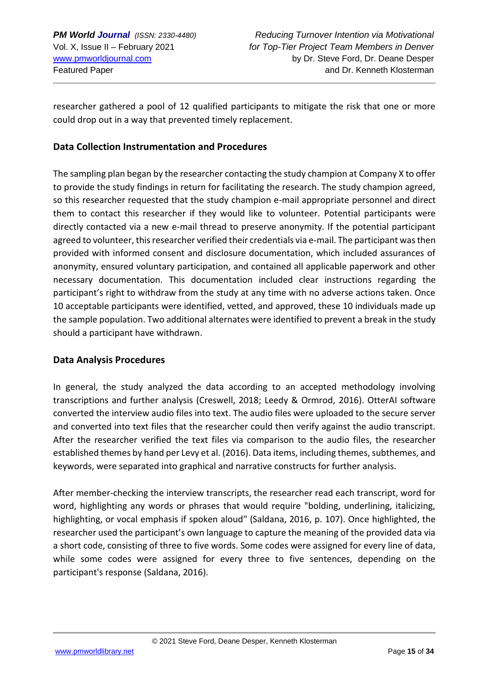researcher gathered a pool of 12 qualified participants to mitigate the risk that one or more could drop out in a way that prevented timely replacement.

#### **Data Collection Instrumentation and Procedures**

The sampling plan began by the researcher contacting the study champion at Company X to offer to provide the study findings in return for facilitating the research. The study champion agreed, so this researcher requested that the study champion e-mail appropriate personnel and direct them to contact this researcher if they would like to volunteer. Potential participants were directly contacted via a new e-mail thread to preserve anonymity. If the potential participant agreed to volunteer, this researcher verified their credentials via e-mail. The participant was then provided with informed consent and disclosure documentation, which included assurances of anonymity, ensured voluntary participation, and contained all applicable paperwork and other necessary documentation. This documentation included clear instructions regarding the participant's right to withdraw from the study at any time with no adverse actions taken. Once 10 acceptable participants were identified, vetted, and approved, these 10 individuals made up the sample population. Two additional alternates were identified to prevent a break in the study should a participant have withdrawn.

#### **Data Analysis Procedures**

In general, the study analyzed the data according to an accepted methodology involving transcriptions and further analysis (Creswell, 2018; Leedy & Ormrod, 2016). OtterAI software converted the interview audio files into text. The audio files were uploaded to the secure server and converted into text files that the researcher could then verify against the audio transcript. After the researcher verified the text files via comparison to the audio files, the researcher established themes by hand per Levy et al. (2016). Data items, including themes, subthemes, and keywords, were separated into graphical and narrative constructs for further analysis.

After member-checking the interview transcripts, the researcher read each transcript, word for word, highlighting any words or phrases that would require "bolding, underlining, italicizing, highlighting, or vocal emphasis if spoken aloud" (Saldana, 2016, p. 107). Once highlighted, the researcher used the participant's own language to capture the meaning of the provided data via a short code, consisting of three to five words. Some codes were assigned for every line of data, while some codes were assigned for every three to five sentences, depending on the participant's response (Saldana, 2016).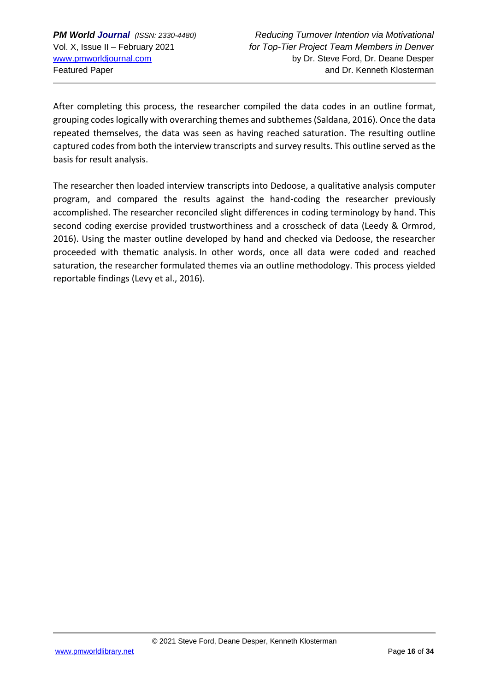After completing this process, the researcher compiled the data codes in an outline format, grouping codes logically with overarching themes and subthemes (Saldana, 2016). Once the data repeated themselves, the data was seen as having reached saturation. The resulting outline captured codes from both the interview transcripts and survey results. This outline served as the basis for result analysis.

The researcher then loaded interview transcripts into Dedoose, a qualitative analysis computer program, and compared the results against the hand-coding the researcher previously accomplished. The researcher reconciled slight differences in coding terminology by hand. This second coding exercise provided trustworthiness and a crosscheck of data (Leedy & Ormrod, 2016). Using the master outline developed by hand and checked via Dedoose, the researcher proceeded with thematic analysis. In other words, once all data were coded and reached saturation, the researcher formulated themes via an outline methodology. This process yielded reportable findings (Levy et al., 2016).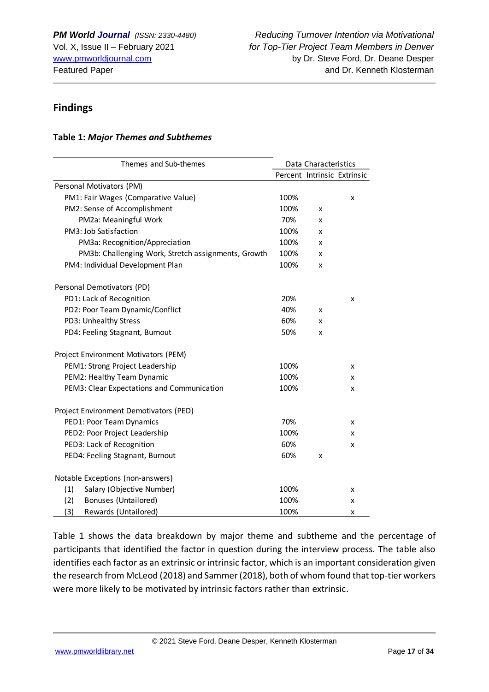## **Findings**

#### **Table 1:** *Major Themes and Subthemes*

| Themes and Sub-themes                               | Data Characteristics |   |                             |
|-----------------------------------------------------|----------------------|---|-----------------------------|
|                                                     |                      |   | Percent Intrinsic Extrinsic |
| Personal Motivators (PM)                            |                      |   |                             |
| PM1: Fair Wages (Comparative Value)                 | 100%                 |   | X                           |
| PM2: Sense of Accomplishment                        | 100%                 | x |                             |
| PM2a: Meaningful Work                               | 70%                  | x |                             |
| PM3: Job Satisfaction                               | 100%                 | x |                             |
| PM3a: Recognition/Appreciation                      | 100%                 | x |                             |
| PM3b: Challenging Work, Stretch assignments, Growth | 100%                 | x |                             |
| PM4: Individual Development Plan                    | 100%                 | x |                             |
| Personal Demotivators (PD)                          |                      |   |                             |
| PD1: Lack of Recognition                            | 20%                  |   | x                           |
| PD2: Poor Team Dynamic/Conflict                     | 40%                  | x |                             |
| PD3: Unhealthy Stress                               | 60%                  | x |                             |
| PD4: Feeling Stagnant, Burnout                      | 50%                  | x |                             |
| Project Environment Motivators (PEM)                |                      |   |                             |
| PEM1: Strong Project Leadership                     | 100%                 |   | X                           |
| PEM2: Healthy Team Dynamic                          | 100%                 |   | x                           |
| PEM3: Clear Expectations and Communication          | 100%                 |   | x                           |
| Project Environment Demotivators (PED)              |                      |   |                             |
| PED1: Poor Team Dynamics                            | 70%                  |   | x                           |
| PED2: Poor Project Leadership                       | 100%                 |   | x                           |
| PED3: Lack of Recognition                           | 60%                  |   | x                           |
| PED4: Feeling Stagnant, Burnout                     | 60%                  | x |                             |
| Notable Exceptions (non-answers)                    |                      |   |                             |
| (1)<br>Salary (Objective Number)                    | 100%                 |   | x                           |
| <b>Bonuses (Untailored)</b><br>(2)                  | 100%                 |   | x                           |
| (3)<br>Rewards (Untailored)                         | 100%                 |   | x                           |

Table 1 shows the data breakdown by major theme and subtheme and the percentage of participants that identified the factor in question during the interview process. The table also identifies each factor as an extrinsic or intrinsic factor, which is an important consideration given the research from McLeod (2018) and Sammer (2018), both of whom found that top-tier workers were more likely to be motivated by intrinsic factors rather than extrinsic.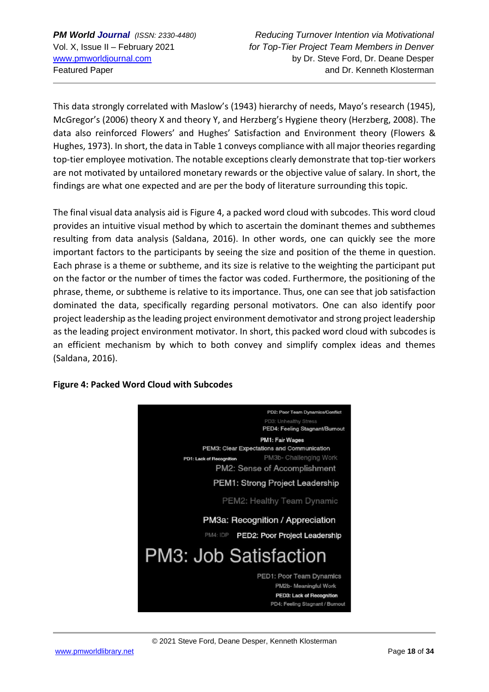This data strongly correlated with Maslow's (1943) hierarchy of needs, Mayo's research (1945), McGregor's (2006) theory X and theory Y, and Herzberg's Hygiene theory (Herzberg, 2008). The data also reinforced Flowers' and Hughes' Satisfaction and Environment theory (Flowers & Hughes, 1973). In short, the data in Table 1 conveys compliance with all major theories regarding top-tier employee motivation. The notable exceptions clearly demonstrate that top-tier workers are not motivated by untailored monetary rewards or the objective value of salary. In short, the findings are what one expected and are per the body of literature surrounding this topic.

The final visual data analysis aid is Figure 4, a packed word cloud with subcodes. This word cloud provides an intuitive visual method by which to ascertain the dominant themes and subthemes resulting from data analysis (Saldana, 2016). In other words, one can quickly see the more important factors to the participants by seeing the size and position of the theme in question. Each phrase is a theme or subtheme, and its size is relative to the weighting the participant put on the factor or the number of times the factor was coded. Furthermore, the positioning of the phrase, theme, or subtheme is relative to its importance. Thus, one can see that job satisfaction dominated the data, specifically regarding personal motivators. One can also identify poor project leadership as the leading project environment demotivator and strong project leadership as the leading project environment motivator. In short, this packed word cloud with subcodes is an efficient mechanism by which to both convey and simplify complex ideas and themes (Saldana, 2016).

#### **Figure 4: Packed Word Cloud with Subcodes**



© 2021 Steve Ford, Deane Desper, Kenneth Klosterman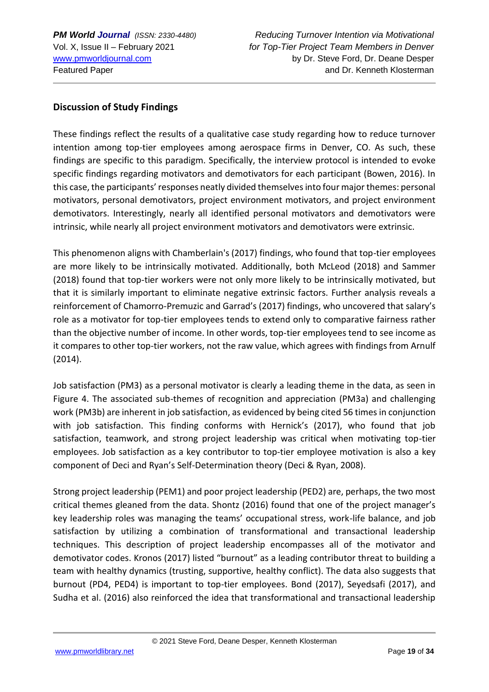#### **Discussion of Study Findings**

These findings reflect the results of a qualitative case study regarding how to reduce turnover intention among top-tier employees among aerospace firms in Denver, CO. As such, these findings are specific to this paradigm. Specifically, the interview protocol is intended to evoke specific findings regarding motivators and demotivators for each participant (Bowen, 2016). In this case, the participants' responses neatly divided themselves into four major themes: personal motivators, personal demotivators, project environment motivators, and project environment demotivators. Interestingly, nearly all identified personal motivators and demotivators were intrinsic, while nearly all project environment motivators and demotivators were extrinsic.

This phenomenon aligns with Chamberlain's (2017) findings, who found that top-tier employees are more likely to be intrinsically motivated. Additionally, both McLeod (2018) and Sammer (2018) found that top-tier workers were not only more likely to be intrinsically motivated, but that it is similarly important to eliminate negative extrinsic factors. Further analysis reveals a reinforcement of Chamorro-Premuzic and Garrad's (2017) findings, who uncovered that salary's role as a motivator for top-tier employees tends to extend only to comparative fairness rather than the objective number of income. In other words, top-tier employees tend to see income as it compares to other top-tier workers, not the raw value, which agrees with findings from Arnulf (2014).

Job satisfaction (PM3) as a personal motivator is clearly a leading theme in the data, as seen in Figure 4. The associated sub-themes of recognition and appreciation (PM3a) and challenging work (PM3b) are inherent in job satisfaction, as evidenced by being cited 56 times in conjunction with job satisfaction. This finding conforms with Hernick's (2017), who found that job satisfaction, teamwork, and strong project leadership was critical when motivating top-tier employees. Job satisfaction as a key contributor to top-tier employee motivation is also a key component of Deci and Ryan's Self-Determination theory (Deci & Ryan, 2008).

Strong project leadership (PEM1) and poor project leadership (PED2) are, perhaps, the two most critical themes gleaned from the data. Shontz (2016) found that one of the project manager's key leadership roles was managing the teams' occupational stress, work-life balance, and job satisfaction by utilizing a combination of transformational and transactional leadership techniques. This description of project leadership encompasses all of the motivator and demotivator codes. Kronos (2017) listed "burnout" as a leading contributor threat to building a team with healthy dynamics (trusting, supportive, healthy conflict). The data also suggests that burnout (PD4, PED4) is important to top-tier employees. Bond (2017), Seyedsafi (2017), and Sudha et al. (2016) also reinforced the idea that transformational and transactional leadership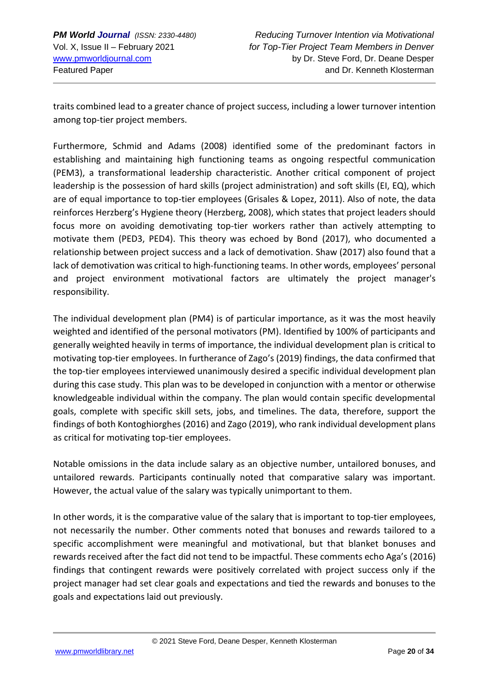traits combined lead to a greater chance of project success, including a lower turnover intention among top-tier project members.

Furthermore, Schmid and Adams (2008) identified some of the predominant factors in establishing and maintaining high functioning teams as ongoing respectful communication (PEM3), a transformational leadership characteristic. Another critical component of project leadership is the possession of hard skills (project administration) and soft skills (EI, EQ), which are of equal importance to top-tier employees (Grisales & Lopez, 2011). Also of note, the data reinforces Herzberg's Hygiene theory (Herzberg, 2008), which states that project leaders should focus more on avoiding demotivating top-tier workers rather than actively attempting to motivate them (PED3, PED4). This theory was echoed by Bond (2017), who documented a relationship between project success and a lack of demotivation. Shaw (2017) also found that a lack of demotivation was critical to high-functioning teams. In other words, employees' personal and project environment motivational factors are ultimately the project manager's responsibility.

The individual development plan (PM4) is of particular importance, as it was the most heavily weighted and identified of the personal motivators (PM). Identified by 100% of participants and generally weighted heavily in terms of importance, the individual development plan is critical to motivating top-tier employees. In furtherance of Zago's (2019) findings, the data confirmed that the top-tier employees interviewed unanimously desired a specific individual development plan during this case study. This plan was to be developed in conjunction with a mentor or otherwise knowledgeable individual within the company. The plan would contain specific developmental goals, complete with specific skill sets, jobs, and timelines. The data, therefore, support the findings of both Kontoghiorghes (2016) and Zago (2019), who rank individual development plans as critical for motivating top-tier employees.

Notable omissions in the data include salary as an objective number, untailored bonuses, and untailored rewards. Participants continually noted that comparative salary was important. However, the actual value of the salary was typically unimportant to them.

In other words, it is the comparative value of the salary that is important to top-tier employees, not necessarily the number. Other comments noted that bonuses and rewards tailored to a specific accomplishment were meaningful and motivational, but that blanket bonuses and rewards received after the fact did not tend to be impactful. These comments echo Aga's (2016) findings that contingent rewards were positively correlated with project success only if the project manager had set clear goals and expectations and tied the rewards and bonuses to the goals and expectations laid out previously.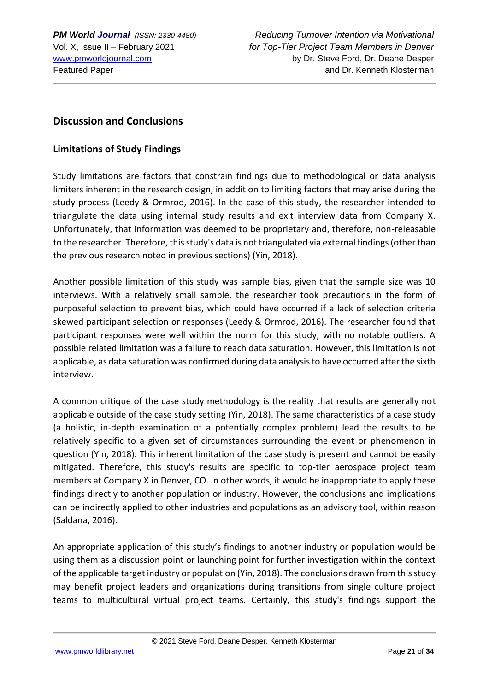## **Discussion and Conclusions**

#### **Limitations of Study Findings**

Study limitations are factors that constrain findings due to methodological or data analysis limiters inherent in the research design, in addition to limiting factors that may arise during the study process (Leedy & Ormrod, 2016). In the case of this study, the researcher intended to triangulate the data using internal study results and exit interview data from Company X. Unfortunately, that information was deemed to be proprietary and, therefore, non-releasable to the researcher. Therefore, this study's data is not triangulated via external findings (other than the previous research noted in previous sections) (Yin, 2018).

Another possible limitation of this study was sample bias, given that the sample size was 10 interviews. With a relatively small sample, the researcher took precautions in the form of purposeful selection to prevent bias, which could have occurred if a lack of selection criteria skewed participant selection or responses (Leedy & Ormrod, 2016). The researcher found that participant responses were well within the norm for this study, with no notable outliers. A possible related limitation was a failure to reach data saturation. However, this limitation is not applicable, as data saturation was confirmed during data analysis to have occurred after the sixth interview.

A common critique of the case study methodology is the reality that results are generally not applicable outside of the case study setting (Yin, 2018). The same characteristics of a case study (a holistic, in-depth examination of a potentially complex problem) lead the results to be relatively specific to a given set of circumstances surrounding the event or phenomenon in question (Yin, 2018). This inherent limitation of the case study is present and cannot be easily mitigated. Therefore, this study's results are specific to top-tier aerospace project team members at Company X in Denver, CO. In other words, it would be inappropriate to apply these findings directly to another population or industry. However, the conclusions and implications can be indirectly applied to other industries and populations as an advisory tool, within reason (Saldana, 2016).

An appropriate application of this study's findings to another industry or population would be using them as a discussion point or launching point for further investigation within the context of the applicable target industry or population (Yin, 2018). The conclusions drawn from this study may benefit project leaders and organizations during transitions from single culture project teams to multicultural virtual project teams. Certainly, this study's findings support the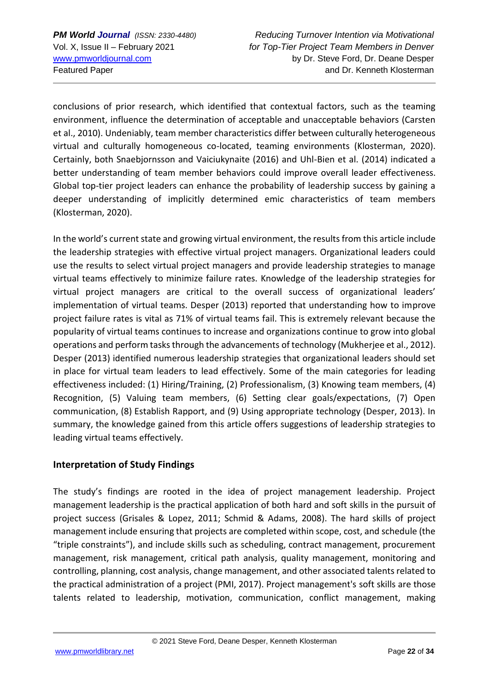conclusions of prior research, which identified that contextual factors, such as the teaming environment, influence the determination of acceptable and unacceptable behaviors (Carsten et al., 2010). Undeniably, team member characteristics differ between culturally heterogeneous virtual and culturally homogeneous co-located, teaming environments (Klosterman, 2020). Certainly, both Snaebjornsson and Vaiciukynaite (2016) and Uhl-Bien et al. (2014) indicated a better understanding of team member behaviors could improve overall leader effectiveness. Global top-tier project leaders can enhance the probability of leadership success by gaining a deeper understanding of implicitly determined emic characteristics of team members (Klosterman, 2020).

In the world's current state and growing virtual environment, the results from this article include the leadership strategies with effective virtual project managers. Organizational leaders could use the results to select virtual project managers and provide leadership strategies to manage virtual teams effectively to minimize failure rates. Knowledge of the leadership strategies for virtual project managers are critical to the overall success of organizational leaders' implementation of virtual teams. Desper (2013) reported that understanding how to improve project failure rates is vital as 71% of virtual teams fail. This is extremely relevant because the popularity of virtual teams continues to increase and organizations continue to grow into global operations and perform tasks through the advancements of technology (Mukherjee et al., 2012). Desper (2013) identified numerous leadership strategies that organizational leaders should set in place for virtual team leaders to lead effectively. Some of the main categories for leading effectiveness included: (1) Hiring/Training, (2) Professionalism, (3) Knowing team members, (4) Recognition, (5) Valuing team members, (6) Setting clear goals/expectations, (7) Open communication, (8) Establish Rapport, and (9) Using appropriate technology (Desper, 2013). In summary, the knowledge gained from this article offers suggestions of leadership strategies to leading virtual teams effectively.

## **Interpretation of Study Findings**

The study's findings are rooted in the idea of project management leadership. Project management leadership is the practical application of both hard and soft skills in the pursuit of project success (Grisales & Lopez, 2011; Schmid & Adams, 2008). The hard skills of project management include ensuring that projects are completed within scope, cost, and schedule (the "triple constraints"), and include skills such as scheduling, contract management, procurement management, risk management, critical path analysis, quality management, monitoring and controlling, planning, cost analysis, change management, and other associated talents related to the practical administration of a project (PMI, 2017). Project management's soft skills are those talents related to leadership, motivation, communication, conflict management, making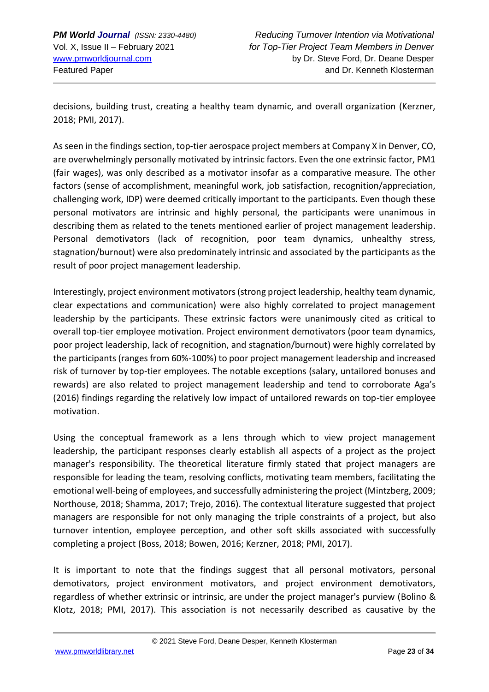decisions, building trust, creating a healthy team dynamic, and overall organization (Kerzner, 2018; PMI, 2017).

As seen in the findings section, top-tier aerospace project members at Company X in Denver, CO, are overwhelmingly personally motivated by intrinsic factors. Even the one extrinsic factor, PM1 (fair wages), was only described as a motivator insofar as a comparative measure. The other factors (sense of accomplishment, meaningful work, job satisfaction, recognition/appreciation, challenging work, IDP) were deemed critically important to the participants. Even though these personal motivators are intrinsic and highly personal, the participants were unanimous in describing them as related to the tenets mentioned earlier of project management leadership. Personal demotivators (lack of recognition, poor team dynamics, unhealthy stress, stagnation/burnout) were also predominately intrinsic and associated by the participants as the result of poor project management leadership.

Interestingly, project environment motivators (strong project leadership, healthy team dynamic, clear expectations and communication) were also highly correlated to project management leadership by the participants. These extrinsic factors were unanimously cited as critical to overall top-tier employee motivation. Project environment demotivators (poor team dynamics, poor project leadership, lack of recognition, and stagnation/burnout) were highly correlated by the participants (ranges from 60%-100%) to poor project management leadership and increased risk of turnover by top-tier employees. The notable exceptions (salary, untailored bonuses and rewards) are also related to project management leadership and tend to corroborate Aga's (2016) findings regarding the relatively low impact of untailored rewards on top-tier employee motivation.

Using the conceptual framework as a lens through which to view project management leadership, the participant responses clearly establish all aspects of a project as the project manager's responsibility. The theoretical literature firmly stated that project managers are responsible for leading the team, resolving conflicts, motivating team members, facilitating the emotional well-being of employees, and successfully administering the project (Mintzberg, 2009; Northouse, 2018; Shamma, 2017; Trejo, 2016). The contextual literature suggested that project managers are responsible for not only managing the triple constraints of a project, but also turnover intention, employee perception, and other soft skills associated with successfully completing a project (Boss, 2018; Bowen, 2016; Kerzner, 2018; PMI, 2017).

It is important to note that the findings suggest that all personal motivators, personal demotivators, project environment motivators, and project environment demotivators, regardless of whether extrinsic or intrinsic, are under the project manager's purview (Bolino & Klotz, 2018; PMI, 2017). This association is not necessarily described as causative by the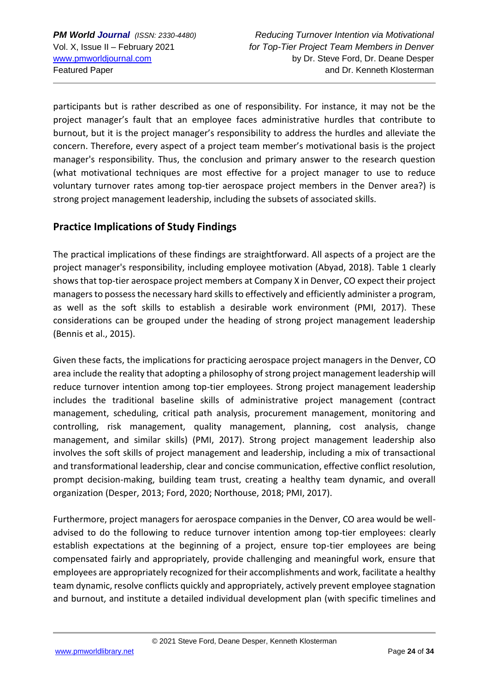participants but is rather described as one of responsibility. For instance, it may not be the project manager's fault that an employee faces administrative hurdles that contribute to burnout, but it is the project manager's responsibility to address the hurdles and alleviate the concern. Therefore, every aspect of a project team member's motivational basis is the project manager's responsibility. Thus, the conclusion and primary answer to the research question (what motivational techniques are most effective for a project manager to use to reduce voluntary turnover rates among top-tier aerospace project members in the Denver area?) is strong project management leadership, including the subsets of associated skills.

## **Practice Implications of Study Findings**

The practical implications of these findings are straightforward. All aspects of a project are the project manager's responsibility, including employee motivation (Abyad, 2018). Table 1 clearly shows that top-tier aerospace project members at Company X in Denver, CO expect their project managers to possess the necessary hard skills to effectively and efficiently administer a program, as well as the soft skills to establish a desirable work environment (PMI, 2017). These considerations can be grouped under the heading of strong project management leadership (Bennis et al., 2015).

Given these facts, the implications for practicing aerospace project managers in the Denver, CO area include the reality that adopting a philosophy of strong project management leadership will reduce turnover intention among top-tier employees. Strong project management leadership includes the traditional baseline skills of administrative project management (contract management, scheduling, critical path analysis, procurement management, monitoring and controlling, risk management, quality management, planning, cost analysis, change management, and similar skills) (PMI, 2017). Strong project management leadership also involves the soft skills of project management and leadership, including a mix of transactional and transformational leadership, clear and concise communication, effective conflict resolution, prompt decision-making, building team trust, creating a healthy team dynamic, and overall organization (Desper, 2013; Ford, 2020; Northouse, 2018; PMI, 2017).

Furthermore, project managers for aerospace companies in the Denver, CO area would be welladvised to do the following to reduce turnover intention among top-tier employees: clearly establish expectations at the beginning of a project, ensure top-tier employees are being compensated fairly and appropriately, provide challenging and meaningful work, ensure that employees are appropriately recognized for their accomplishments and work, facilitate a healthy team dynamic, resolve conflicts quickly and appropriately, actively prevent employee stagnation and burnout, and institute a detailed individual development plan (with specific timelines and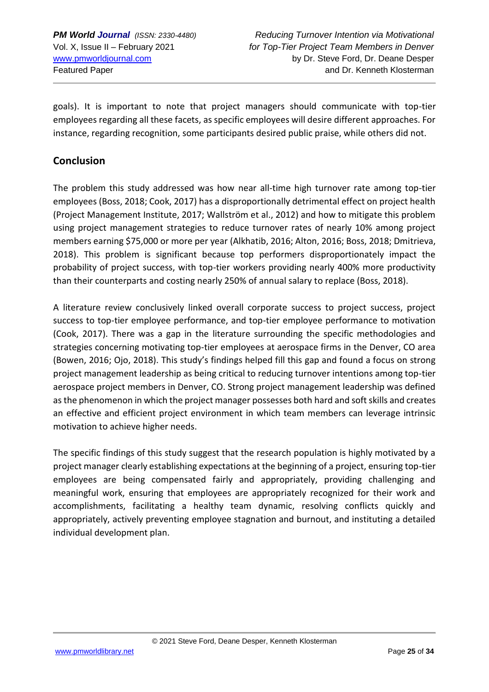goals). It is important to note that project managers should communicate with top-tier employees regarding all these facets, as specific employees will desire different approaches. For instance, regarding recognition, some participants desired public praise, while others did not.

## **Conclusion**

The problem this study addressed was how near all-time high turnover rate among top-tier employees (Boss, 2018; Cook, 2017) has a disproportionally detrimental effect on project health (Project Management Institute, 2017; Wallström et al., 2012) and how to mitigate this problem using project management strategies to reduce turnover rates of nearly 10% among project members earning \$75,000 or more per year (Alkhatib, 2016; Alton, 2016; Boss, 2018; Dmitrieva, 2018). This problem is significant because top performers disproportionately impact the probability of project success, with top-tier workers providing nearly 400% more productivity than their counterparts and costing nearly 250% of annual salary to replace (Boss, 2018).

A literature review conclusively linked overall corporate success to project success, project success to top-tier employee performance, and top-tier employee performance to motivation (Cook, 2017). There was a gap in the literature surrounding the specific methodologies and strategies concerning motivating top-tier employees at aerospace firms in the Denver, CO area (Bowen, 2016; Ojo, 2018). This study's findings helped fill this gap and found a focus on strong project management leadership as being critical to reducing turnover intentions among top-tier aerospace project members in Denver, CO. Strong project management leadership was defined as the phenomenon in which the project manager possesses both hard and soft skills and creates an effective and efficient project environment in which team members can leverage intrinsic motivation to achieve higher needs.

The specific findings of this study suggest that the research population is highly motivated by a project manager clearly establishing expectations at the beginning of a project, ensuring top-tier employees are being compensated fairly and appropriately, providing challenging and meaningful work, ensuring that employees are appropriately recognized for their work and accomplishments, facilitating a healthy team dynamic, resolving conflicts quickly and appropriately, actively preventing employee stagnation and burnout, and instituting a detailed individual development plan.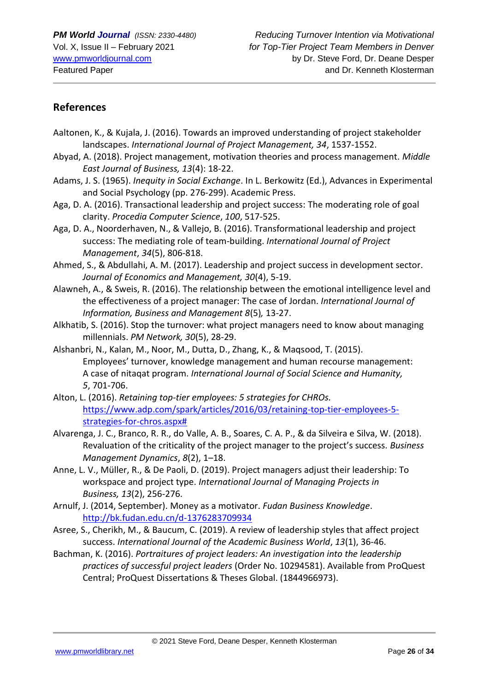## **References**

- Aaltonen, K., & Kujala, J. (2016). Towards an improved understanding of project stakeholder landscapes. *International Journal of Project Management, 34*, 1537-1552.
- Abyad, A. (2018). Project management, motivation theories and process management. *Middle East Journal of Business, 13*(4): 18-22.
- Adams, J. S. (1965). *Inequity in Social Exchange*. In L. Berkowitz (Ed.), Advances in Experimental and Social Psychology (pp. 276-299). Academic Press.
- Aga, D. A. (2016). Transactional leadership and project success: The moderating role of goal clarity. *Procedia Computer Science*, *100*, 517-525.
- Aga, D. A., Noorderhaven, N., & Vallejo, B. (2016). Transformational leadership and project success: The mediating role of team-building. *International Journal of Project Management*, *34*(5), 806-818.
- Ahmed, S., & Abdullahi, A. M. (2017). Leadership and project success in development sector. *Journal of Economics and Management, 30*(4), 5-19.
- Alawneh, A., & Sweis, R. (2016). The relationship between the emotional intelligence level and the effectiveness of a project manager: The case of Jordan. *International Journal of Information, Business and Management 8*(5)*,* 13-27.
- Alkhatib, S. (2016). Stop the turnover: what project managers need to know about managing millennials. *PM Network, 30*(5), 28-29.
- Alshanbri, N., Kalan, M., Noor, M., Dutta, D., Zhang, K., & Maqsood, T. (2015). Employees' turnover, knowledge management and human recourse management: A case of nitaqat program. *International Journal of Social Science and Humanity, 5*, 701-706.
- Alton, L. (2016). *Retaining top-tier employees: 5 strategies for CHROs.* [https://www.adp.com/spark/articles/2016/03/retaining-top-tier-employees-5](https://www.adp.com/spark/articles/2016/03/retaining-top-tier-employees-5-strategies-for-chros.aspx) [strategies-for-chros.aspx#](https://www.adp.com/spark/articles/2016/03/retaining-top-tier-employees-5-strategies-for-chros.aspx)
- Alvarenga, J. C., Branco, R. R., do Valle, A. B., Soares, C. A. P., & da Silveira e Silva, W. (2018). Revaluation of the criticality of the project manager to the project's success. *Business Management Dynamics*, *8*(2), 1–18.
- Anne, L. V., Müller, R., & De Paoli, D. (2019). Project managers adjust their leadership: To workspace and project type. *International Journal of Managing Projects in Business, 13*(2), 256-276.
- Arnulf, J. (2014, September). Money as a motivator. *Fudan Business Knowledge*. <http://bk.fudan.edu.cn/d-1376283709934>
- Asree, S., Cherikh, M., & Baucum, C. (2019). A review of leadership styles that affect project success. *International Journal of the Academic Business World*, *13*(1), 36-46.
- Bachman, K. (2016). *Portraitures of project leaders: An investigation into the leadership practices of successful project leaders* (Order No. 10294581). Available from ProQuest Central; ProQuest Dissertations & Theses Global. (1844966973).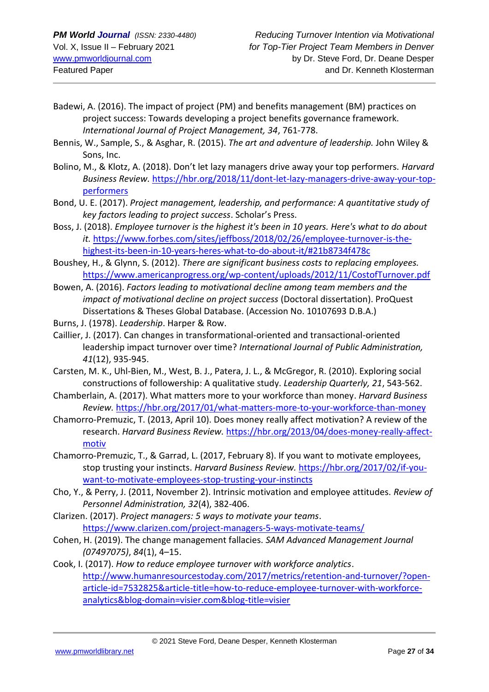- Badewi, A. (2016). The impact of project (PM) and benefits management (BM) practices on project success: Towards developing a project benefits governance framework. *International Journal of Project Management, 34*, 761-778.
- Bennis, W., Sample, S., & Asghar, R. (2015). *The art and adventure of leadership.* John Wiley & Sons, Inc.
- Bolino, M., & Klotz, A. (2018). Don't let lazy managers drive away your top performers. *Harvard Business Review.* [https://hbr.org/2018/11/dont-let-lazy-managers-drive-away-your-top](https://hbr.org/2018/11/dont-let-lazy-managers-drive-away-your-top-performers)[performers](https://hbr.org/2018/11/dont-let-lazy-managers-drive-away-your-top-performers)
- Bond, U. E. (2017). *Project management, leadership, and performance: A quantitative study of key factors leading to project success*. Scholar's Press.
- Boss, J. (2018). *Employee turnover is the highest it's been in 10 years. Here's what to do about it.* [https://www.forbes.com/sites/jeffboss/2018/02/26/employee-turnover-is-the](https://www.forbes.com/sites/jeffboss/2018/02/26/employee-turnover-is-the-highest-its-been-in-10-years-heres-what-to-do-about-it/#21b8734f478c)[highest-its-been-in-10-years-heres-what-to-do-about-it/#21b8734f478c](https://www.forbes.com/sites/jeffboss/2018/02/26/employee-turnover-is-the-highest-its-been-in-10-years-heres-what-to-do-about-it/#21b8734f478c)
- Boushey, H., & Glynn, S. (2012). *There are significant business costs to replacing employees.* <https://www.americanprogress.org/wp-content/uploads/2012/11/CostofTurnover.pdf>
- Bowen, A. (2016). *Factors leading to motivational decline among team members and the impact of motivational decline on project success* (Doctoral dissertation). ProQuest Dissertations & Theses Global Database. (Accession No. 10107693 D.B.A.)
- Burns, J. (1978). *Leadership*. Harper & Row.
- Caillier, J. (2017). Can changes in transformational-oriented and transactional-oriented leadership impact turnover over time? *International Journal of Public Administration, 41*(12), 935-945.
- Carsten, M. K., Uhl-Bien, M., West, B. J., Patera, J. L., & McGregor, R. (2010). Exploring social constructions of followership: A qualitative study. *Leadership Quarterly, 21*, 543-562.
- Chamberlain, A. (2017). What matters more to your workforce than money. *Harvard Business Review.* <https://hbr.org/2017/01/what-matters-more-to-your-workforce-than-money>
- Chamorro-Premuzic, T. (2013, April 10). Does money really affect motivation? A review of the research. *Harvard Business Review.* [https://hbr.org/2013/04/does-money-really-affect](https://hbr.org/2013/04/does-money-really-affect-motiv)[motiv](https://hbr.org/2013/04/does-money-really-affect-motiv)
- Chamorro-Premuzic, T., & Garrad, L. (2017, February 8). If you want to motivate employees, stop trusting your instincts. *Harvard Business Review.* [https://hbr.org/2017/02/if-you](https://hbr.org/2017/02/if-you-want-to-motivate-employees-stop-trusting-your-instincts)[want-to-motivate-employees-stop-trusting-your-instincts](https://hbr.org/2017/02/if-you-want-to-motivate-employees-stop-trusting-your-instincts)
- Cho, Y., & Perry, J. (2011, November 2). Intrinsic motivation and employee attitudes. *Review of Personnel Administration, 32*(4), 382-406.
- Clarizen. (2017). *Project managers: 5 ways to motivate your teams*. <https://www.clarizen.com/project-managers-5-ways-motivate-teams/>
- Cohen, H. (2019). The change management fallacies. *SAM Advanced Management Journal (07497075)*, *84*(1), 4–15.
- Cook, I. (2017). *How to reduce employee turnover with workforce analytics*. [http://www.humanresourcestoday.com/2017/metrics/retention-and-turnover/?open](http://www.humanresourcestoday.com/2017/metrics/retention-and-turnover/?open-article-id=7532825&article-title=how-to-reduce-employee-turnover-with-workforce-analytics&blog-domain=visier.com&blog-title=visier)[article-id=7532825&article-title=how-to-reduce-employee-turnover-with-workforce](http://www.humanresourcestoday.com/2017/metrics/retention-and-turnover/?open-article-id=7532825&article-title=how-to-reduce-employee-turnover-with-workforce-analytics&blog-domain=visier.com&blog-title=visier)[analytics&blog-domain=visier.com&blog-title=visier](http://www.humanresourcestoday.com/2017/metrics/retention-and-turnover/?open-article-id=7532825&article-title=how-to-reduce-employee-turnover-with-workforce-analytics&blog-domain=visier.com&blog-title=visier)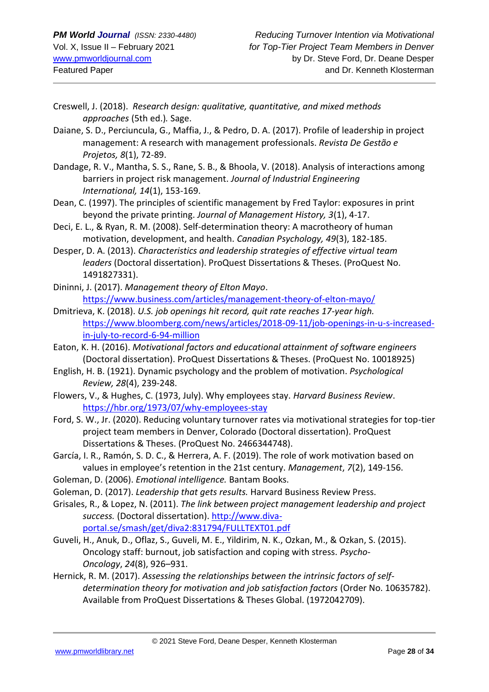- Creswell, J. (2018). *Research design: qualitative, quantitative, and mixed methods approaches* (5th ed.)*.* Sage.
- Daiane, S. D., Perciuncula, G., Maffia, J., & Pedro, D. A. (2017). Profile of leadership in project management: A research with management professionals. *Revista De Gestão e Projetos, 8*(1), 72-89.
- Dandage, R. V., Mantha, S. S., Rane, S. B., & Bhoola, V. (2018). Analysis of interactions among barriers in project risk management. *Journal of Industrial Engineering International, 14*(1), 153-169.
- Dean, C. (1997). The principles of scientific management by Fred Taylor: exposures in print beyond the private printing. *Journal of Management History, 3*(1), 4-17.
- Deci, E. L., & Ryan, R. M. (2008). Self-determination theory: A macrotheory of human motivation, development, and health. *Canadian Psychology, 49*(3), 182-185.
- Desper, D. A. (2013). *Characteristics and leadership strategies of effective virtual team leaders* (Doctoral dissertation). ProQuest Dissertations & Theses. (ProQuest No. 1491827331).
- Dininni, J. (2017). *Management theory of Elton Mayo*. <https://www.business.com/articles/management-theory-of-elton-mayo/>
- Dmitrieva, K. (2018). *U.S. job openings hit record, quit rate reaches 17-year high.* [https://www.bloomberg.com/news/articles/2018-09-11/job-openings-in-u-s-increased](https://www.bloomberg.com/news/articles/2018-09-11/job-openings-in-u-s-increased-in-july-to-record-6-94-million)[in-july-to-record-6-94-million](https://www.bloomberg.com/news/articles/2018-09-11/job-openings-in-u-s-increased-in-july-to-record-6-94-million)
- Eaton, K. H. (2016). *Motivational factors and educational attainment of software engineers* (Doctoral dissertation). ProQuest Dissertations & Theses. (ProQuest No. 10018925)
- English, H. B. (1921). Dynamic psychology and the problem of motivation. *Psychological Review, 28*(4), 239-248.
- Flowers, V., & Hughes, C. (1973, July). Why employees stay. *Harvard Business Review*. <https://hbr.org/1973/07/why-employees-stay>
- Ford, S. W., Jr. (2020). Reducing voluntary turnover rates via motivational strategies for top-tier project team members in Denver, Colorado (Doctoral dissertation). ProQuest Dissertations & Theses. (ProQuest No. 2466344748).
- García, I. R., Ramón, S. D. C., & Herrera, A. F. (2019). The role of work motivation based on values in employee's retention in the 21st century. *Management*, *7*(2), 149-156.
- Goleman, D. (2006). *Emotional intelligence.* Bantam Books.
- Goleman, D. (2017). *Leadership that gets results.* Harvard Business Review Press.
- Grisales, R., & Lopez, N. (2011). *The link between project management leadership and project success.* (Doctoral dissertation). [http://www.diva](http://www.diva-portal.se/smash/get/diva2:831794/FULLTEXT01.pdf)[portal.se/smash/get/diva2:831794/FULLTEXT01.pdf](http://www.diva-portal.se/smash/get/diva2:831794/FULLTEXT01.pdf)
- Guveli, H., Anuk, D., Oflaz, S., Guveli, M. E., Yildirim, N. K., Ozkan, M., & Ozkan, S. (2015). Oncology staff: burnout, job satisfaction and coping with stress. *Psycho-Oncology*, *24*(8), 926–931.
- Hernick, R. M. (2017). *Assessing the relationships between the intrinsic factors of selfdetermination theory for motivation and job satisfaction factors* (Order No. 10635782). Available from ProQuest Dissertations & Theses Global. (1972042709).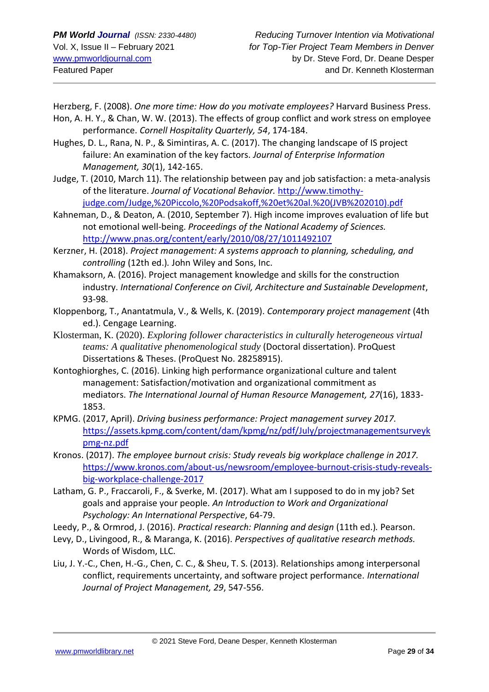Herzberg, F. (2008). *One more time: How do you motivate employees?* Harvard Business Press.

Hon, A. H. Y., & Chan, W. W. (2013). The effects of group conflict and work stress on employee performance. *Cornell Hospitality Quarterly, 54*, 174-184.

- Hughes, D. L., Rana, N. P., & Simintiras, A. C. (2017). The changing landscape of IS project failure: An examination of the key factors. *Journal of Enterprise Information Management, 30*(1), 142-165.
- Judge, T. (2010, March 11). The relationship between pay and job satisfaction: a meta-analysis of the literature. *Journal of Vocational Behavior.* [http://www.timothy](http://www.timothy-judge.com/Judge,%20Piccolo,%20Podsakoff,%20et%20al.%20(JVB%202010).pdf)[judge.com/Judge,%20Piccolo,%20Podsakoff,%20et%20al.%20\(JVB%202010\).pdf](http://www.timothy-judge.com/Judge,%20Piccolo,%20Podsakoff,%20et%20al.%20(JVB%202010).pdf)
- Kahneman, D., & Deaton, A. (2010, September 7). High income improves evaluation of life but not emotional well-being. *Proceedings of the National Academy of Sciences.* <http://www.pnas.org/content/early/2010/08/27/1011492107>
- Kerzner, H. (2018). *Project management: A systems approach to planning, scheduling, and controlling* (12th ed.)*.* John Wiley and Sons, Inc.
- Khamaksorn, A. (2016). Project management knowledge and skills for the construction industry. *International Conference on Civil, Architecture and Sustainable Development*, 93-98.
- Kloppenborg, T., Anantatmula, V., & Wells, K. (2019). *Contemporary project management* (4th ed.). Cengage Learning.
- Klosterman, K. (2020). *Exploring follower characteristics in culturally heterogeneous virtual teams: A qualitative phenomenological study* (Doctoral dissertation). ProQuest Dissertations & Theses. (ProQuest No. 28258915).
- Kontoghiorghes, C. (2016). Linking high performance organizational culture and talent management: Satisfaction/motivation and organizational commitment as mediators. *The International Journal of Human Resource Management, 27*(16), 1833- 1853.
- KPMG. (2017, April). *Driving business performance: Project management survey 2017.* [https://assets.kpmg.com/content/dam/kpmg/nz/pdf/July/projectmanagementsurveyk](https://assets.kpmg.com/content/dam/kpmg/nz/pdf/July/projectmanagementsurveykpmg-nz.pdf) [pmg-nz.pdf](https://assets.kpmg.com/content/dam/kpmg/nz/pdf/July/projectmanagementsurveykpmg-nz.pdf)
- Kronos. (2017). *The employee burnout crisis: Study reveals big workplace challenge in 2017.* [https://www.kronos.com/about-us/newsroom/employee-burnout-crisis-study-reveals](https://www.kronos.com/about-us/newsroom/employee-burnout-crisis-study-reveals-big-workplace-challenge-2017)[big-workplace-challenge-2017](https://www.kronos.com/about-us/newsroom/employee-burnout-crisis-study-reveals-big-workplace-challenge-2017)
- Latham, G. P., Fraccaroli, F., & Sverke, M. (2017). What am I supposed to do in my job? Set goals and appraise your people. *An Introduction to Work and Organizational Psychology: An International Perspective*, 64-79.
- Leedy, P., & Ormrod, J. (2016). *Practical research: Planning and design* (11th ed.)*.* Pearson.
- Levy, D., Livingood, R., & Maranga, K. (2016). *Perspectives of qualitative research methods.* Words of Wisdom, LLC.
- Liu, J. Y.-C., Chen, H.-G., Chen, C. C., & Sheu, T. S. (2013). Relationships among interpersonal conflict, requirements uncertainty, and software project performance. *International Journal of Project Management, 29*, 547-556.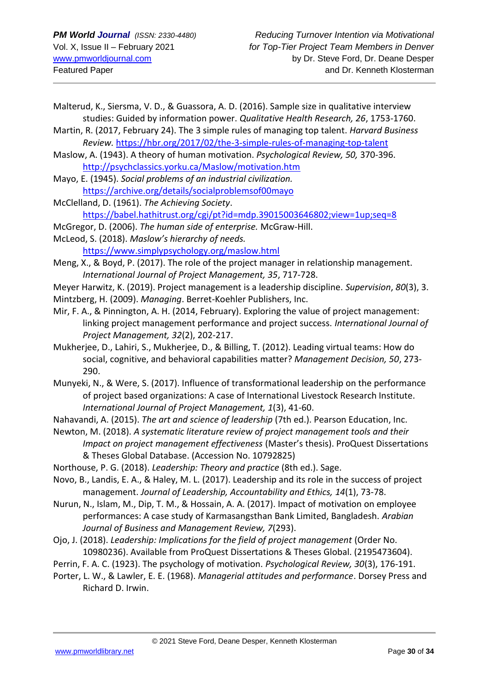- Malterud, K., Siersma, V. D., & Guassora, A. D. (2016). Sample size in qualitative interview studies: Guided by information power. *Qualitative Health Research, 26*, 1753-1760.
- Martin, R. (2017, February 24). The 3 simple rules of managing top talent. *Harvard Business Review.* <https://hbr.org/2017/02/the-3-simple-rules-of-managing-top-talent>
- Maslow, A. (1943). A theory of human motivation. *Psychological Review, 50,* 370-396. <http://psychclassics.yorku.ca/Maslow/motivation.htm>
- Mayo, E. (1945). *Social problems of an industrial civilization.* <https://archive.org/details/socialproblemsof00mayo>
- McClelland, D. (1961). *The Achieving Society*. <https://babel.hathitrust.org/cgi/pt?id=mdp.39015003646802;view=1up;seq=8>
- McGregor, D. (2006). *The human side of enterprise.* McGraw-Hill.
- McLeod, S. (2018). *Maslow's hierarchy of needs.*

<https://www.simplypsychology.org/maslow.html>

- Meng, X., & Boyd, P. (2017). The role of the project manager in relationship management. *International Journal of Project Management, 35*, 717-728.
- Meyer Harwitz, K. (2019). Project management is a leadership discipline. *Supervision*, *80*(3), 3. Mintzberg, H. (2009). *Managing*. Berret-Koehler Publishers, Inc.
- Mir, F. A., & Pinnington, A. H. (2014, February). Exploring the value of project management: linking project management performance and project success. *International Journal of Project Management, 32*(2), 202-217.
- Mukherjee, D., Lahiri, S., Mukherjee, D., & Billing, T. (2012). Leading virtual teams: How do social, cognitive, and behavioral capabilities matter? *Management Decision, 50*, 273- 290.
- Munyeki, N., & Were, S. (2017). Influence of transformational leadership on the performance of project based organizations: A case of International Livestock Research Institute. *International Journal of Project Management, 1*(3), 41-60.
- Nahavandi, A. (2015). *The art and science of leadership* (7th ed.). Pearson Education, Inc.
- Newton, M. (2018). *A systematic literature review of project management tools and their Impact on project management effectiveness* (Master's thesis). ProQuest Dissertations & Theses Global Database. (Accession No. 10792825)
- Northouse, P. G. (2018). *Leadership: Theory and practice* (8th ed.). Sage.
- Novo, B., Landis, E. A., & Haley, M. L. (2017). Leadership and its role in the success of project management. *Journal of Leadership, Accountability and Ethics, 14*(1), 73-78.
- Nurun, N., Islam, M., Dip, T. M., & Hossain, A. A. (2017). Impact of motivation on employee performances: A case study of Karmasangsthan Bank Limited, Bangladesh. *Arabian Journal of Business and Management Review, 7*(293).
- Ojo, J. (2018). *Leadership: Implications for the field of project management* (Order No. 10980236). Available from ProQuest Dissertations & Theses Global. (2195473604).
- Perrin, F. A. C. (1923). The psychology of motivation. *Psychological Review, 30*(3), 176-191.
- Porter, L. W., & Lawler, E. E. (1968). *Managerial attitudes and performance*. Dorsey Press and Richard D. Irwin.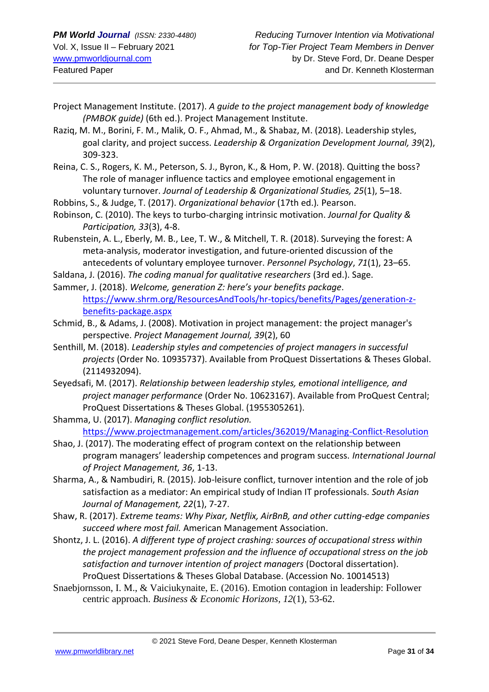- Project Management Institute. (2017). *A guide to the project management body of knowledge (PMBOK guide)* (6th ed.). Project Management Institute.
- Raziq, M. M., Borini, F. M., Malik, O. F., Ahmad, M., & Shabaz, M. (2018). Leadership styles, goal clarity, and project success. *Leadership & Organization Development Journal, 39*(2), 309-323.
- Reina, C. S., Rogers, K. M., Peterson, S. J., Byron, K., & Hom, P. W. (2018). Quitting the boss? The role of manager influence tactics and employee emotional engagement in voluntary turnover. *Journal of Leadership & Organizational Studies, 25*(1), 5–18.

Robbins, S., & Judge, T. (2017). *Organizational behavior* (17th ed.)*.* Pearson.

- Robinson, C. (2010). The keys to turbo-charging intrinsic motivation. *Journal for Quality & Participation, 33*(3), 4-8.
- Rubenstein, A. L., Eberly, M. B., Lee, T. W., & Mitchell, T. R. (2018). Surveying the forest: A meta‐analysis, moderator investigation, and future‐oriented discussion of the antecedents of voluntary employee turnover. *Personnel Psychology*, *71*(1), 23–65.
- Saldana, J. (2016). *The coding manual for qualitative researchers* (3rd ed.). Sage.
- Sammer, J. (2018). *Welcome, generation Z: here's your benefits package*. [https://www.shrm.org/ResourcesAndTools/hr-topics/benefits/Pages/generation-z](https://www.shrm.org/ResourcesAndTools/hr-topics/benefits/Pages/generation-z-benefits-package.aspx)[benefits-package.aspx](https://www.shrm.org/ResourcesAndTools/hr-topics/benefits/Pages/generation-z-benefits-package.aspx)
- Schmid, B., & Adams, J. (2008). Motivation in project management: the project manager's perspective. *Project Management Journal, 39*(2), 60
- Senthill, M. (2018). *Leadership styles and competencies of project managers in successful projects* (Order No. 10935737). Available from ProQuest Dissertations & Theses Global. (2114932094).
- Seyedsafi, M. (2017). *Relationship between leadership styles, emotional intelligence, and project manager performance* (Order No. 10623167). Available from ProQuest Central; ProQuest Dissertations & Theses Global. (1955305261).
- Shamma, U. (2017). *Managing conflict resolution.* <https://www.projectmanagement.com/articles/362019/Managing-Conflict-Resolution>
- Shao, J. (2017). The moderating effect of program context on the relationship between program managers' leadership competences and program success. *International Journal of Project Management, 36*, 1-13.
- Sharma, A., & Nambudiri, R. (2015). Job-leisure conflict, turnover intention and the role of job satisfaction as a mediator: An empirical study of Indian IT professionals. *South Asian Journal of Management, 22*(1), 7-27.
- Shaw, R. (2017). *Extreme teams: Why Pixar, Netflix, AirBnB, and other cutting-edge companies succeed where most fail.* American Management Association.
- Shontz, J. L. (2016). *A different type of project crashing: sources of occupational stress within the project management profession and the influence of occupational stress on the job satisfaction and turnover intention of project managers* (Doctoral dissertation). ProQuest Dissertations & Theses Global Database. (Accession No. 10014513)
- Snaebjornsson, I. M., & Vaiciukynaite, E. (2016). Emotion contagion in leadership: Follower centric approach. *Business & Economic Horizons, 12*(1), 53-62.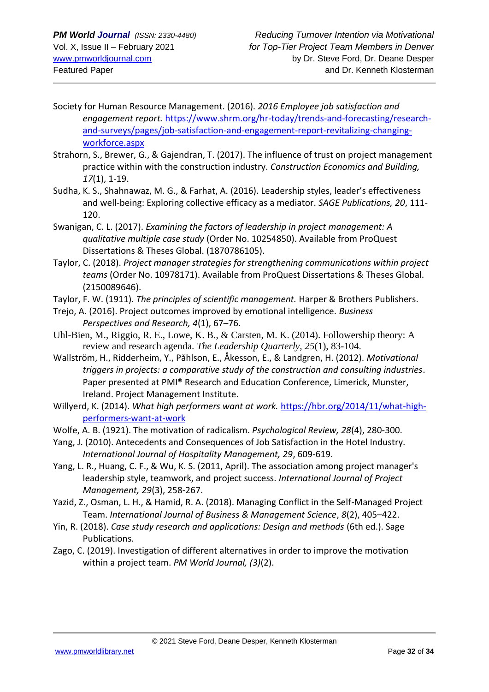- Society for Human Resource Management. (2016). *2016 Employee job satisfaction and engagement report.* [https://www.shrm.org/hr-today/trends-and-forecasting/research](https://www.shrm.org/hr-today/trends-and-forecasting/research-and-surveys/pages/job-satisfaction-and-engagement-report-revitalizing-changing-workforce.aspx)[and-surveys/pages/job-satisfaction-and-engagement-report-revitalizing-changing](https://www.shrm.org/hr-today/trends-and-forecasting/research-and-surveys/pages/job-satisfaction-and-engagement-report-revitalizing-changing-workforce.aspx)[workforce.aspx](https://www.shrm.org/hr-today/trends-and-forecasting/research-and-surveys/pages/job-satisfaction-and-engagement-report-revitalizing-changing-workforce.aspx)
- Strahorn, S., Brewer, G., & Gajendran, T. (2017). The influence of trust on project management practice within with the construction industry. *Construction Economics and Building, 17*(1), 1-19.
- Sudha, K. S., Shahnawaz, M. G., & Farhat, A. (2016). Leadership styles, leader's effectiveness and well-being: Exploring collective efficacy as a mediator. *SAGE Publications, 20*, 111- 120.
- Swanigan, C. L. (2017). *Examining the factors of leadership in project management: A qualitative multiple case study* (Order No. 10254850). Available from ProQuest Dissertations & Theses Global. (1870786105).
- Taylor, C. (2018). *Project manager strategies for strengthening communications within project teams* (Order No. 10978171). Available from ProQuest Dissertations & Theses Global. (2150089646).
- Taylor, F. W. (1911). *The principles of scientific management.* Harper & Brothers Publishers.
- Trejo, A. (2016). Project outcomes improved by emotional intelligence. *Business Perspectives and Research, 4*(1), 67–76.
- Uhl-Bien, M., Riggio, R. E., Lowe, K. B., & Carsten, M. K. (2014). Followership theory: A review and research agenda. *The Leadership Quarterly, 25*(1), 83-104.
- Wallström, H., Ridderheim, Y., Påhlson, E., Åkesson, E., & Landgren, H. (2012). *Motivational triggers in projects: a comparative study of the construction and consulting industries*. Paper presented at PMI® Research and Education Conference, Limerick, Munster, Ireland. Project Management Institute.
- Willyerd, K. (2014). *What high performers want at work.* [https://hbr.org/2014/11/what-high](https://hbr.org/2014/11/what-high-performers-want-at-work)[performers-want-at-work](https://hbr.org/2014/11/what-high-performers-want-at-work)
- Wolfe, A. B. (1921). The motivation of radicalism. *Psychological Review, 28*(4), 280-300.
- Yang, J. (2010). Antecedents and Consequences of Job Satisfaction in the Hotel Industry. *International Journal of Hospitality Management, 29*, 609-619.
- Yang, L. R., Huang, C. F., & Wu, K. S. (2011, April). The association among project manager's leadership style, teamwork, and project success. *International Journal of Project Management, 29*(3), 258-267.
- Yazid, Z., Osman, L. H., & Hamid, R. A. (2018). Managing Conflict in the Self-Managed Project Team. *International Journal of Business & Management Science*, *8*(2), 405–422.
- Yin, R. (2018). *Case study research and applications: Design and methods* (6th ed.). Sage Publications.
- Zago, C. (2019). Investigation of different alternatives in order to improve the motivation within a project team. *PM World Journal, (3)*(2).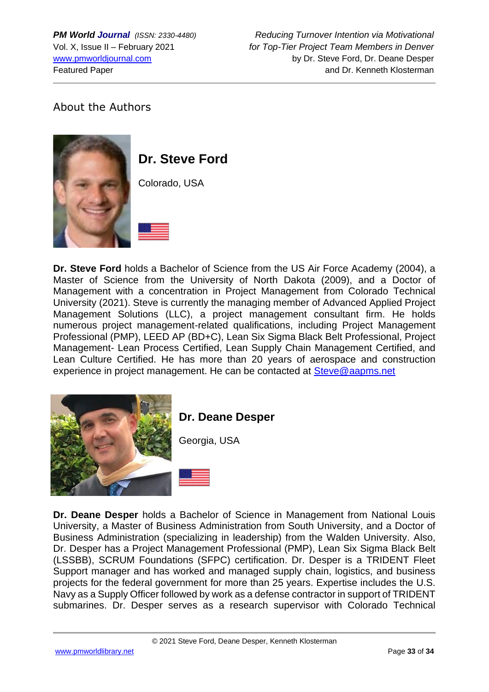*PM World Journal (ISSN: 2330-4480) Reducing Turnover Intention via Motivational* Vol. X, Issue II – February 2021 *for Top-Tier Project Team Members in Denver* [www.pmworldjournal.com](http://www.pmworldjournal.com/) by Dr. Steve Ford, Dr. Deane Desper Featured Paper and Dr. Kenneth Klosterman

# About the Authors



# **Dr. Steve Ford**

Colorado, USA



**Dr. Steve Ford** holds a Bachelor of Science from the US Air Force Academy (2004), a Master of Science from the University of North Dakota (2009), and a Doctor of Management with a concentration in Project Management from Colorado Technical University (2021). Steve is currently the managing member of Advanced Applied Project Management Solutions (LLC), a project management consultant firm. He holds numerous project management-related qualifications, including Project Management Professional (PMP), LEED AP (BD+C), Lean Six Sigma Black Belt Professional, Project Management- Lean Process Certified, Lean Supply Chain Management Certified, and Lean Culture Certified. He has more than 20 years of aerospace and construction experience in project management. He can be contacted at [Steve@aapms.net](mailto:Steve@aapms.net)





**Dr. Deane Desper** holds a Bachelor of Science in Management from National Louis University, a Master of Business Administration from South University, and a Doctor of Business Administration (specializing in leadership) from the Walden University. Also, Dr. Desper has a Project Management Professional (PMP), Lean Six Sigma Black Belt (LSSBB), SCRUM Foundations (SFPC) certification. Dr. Desper is a TRIDENT Fleet Support manager and has worked and managed supply chain, logistics, and business projects for the federal government for more than 25 years. Expertise includes the U.S. Navy as a Supply Officer followed by work as a defense contractor in support of TRIDENT submarines. Dr. Desper serves as a research supervisor with Colorado Technical